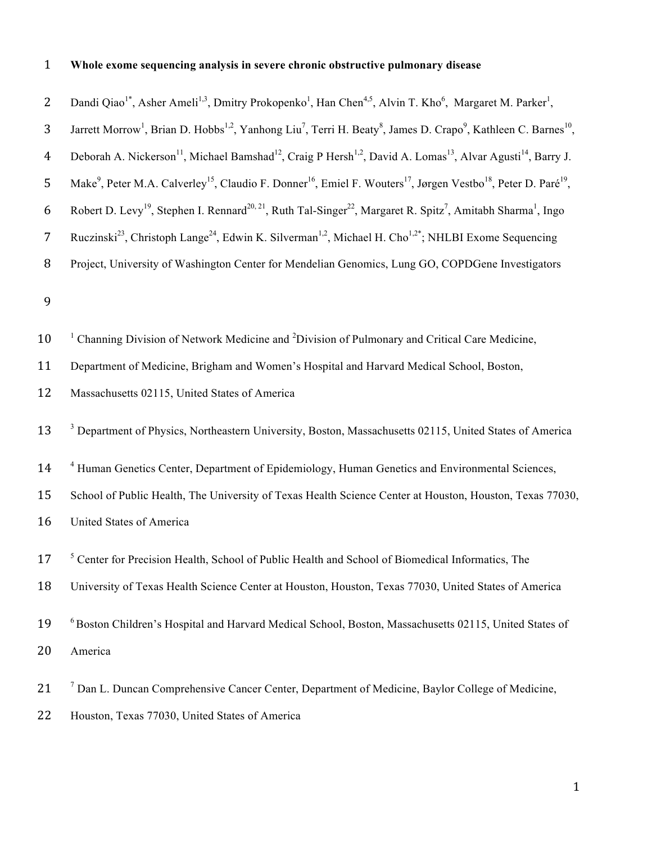# 1 **Whole exome sequencing analysis in severe chronic obstructive pulmonary disease**

| $\overline{2}$   | Dandi Qiao <sup>1*</sup> , Asher Ameli <sup>1,3</sup> , Dmitry Prokopenko <sup>1</sup> , Han Chen <sup>4,5</sup> , Alvin T. Kho <sup>6</sup> , Margaret M. Parker <sup>1</sup> ,        |
|------------------|-----------------------------------------------------------------------------------------------------------------------------------------------------------------------------------------|
| 3                | Jarrett Morrow <sup>1</sup> , Brian D. Hobbs <sup>1,2</sup> , Yanhong Liu <sup>7</sup> , Terri H. Beaty <sup>8</sup> , James D. Crapo <sup>9</sup> , Kathleen C. Barnes <sup>10</sup> , |
| $\boldsymbol{4}$ | Deborah A. Nickerson <sup>11</sup> , Michael Bamshad <sup>12</sup> , Craig P Hersh <sup>1,2</sup> , David A. Lomas <sup>13</sup> , Alvar Agusti <sup>14</sup> , Barry J.                |
| 5                | Make <sup>9</sup> , Peter M.A. Calverley <sup>15</sup> , Claudio F. Donner <sup>16</sup> , Emiel F. Wouters <sup>17</sup> , Jørgen Vestbo <sup>18</sup> , Peter D. Paré <sup>19</sup> , |
| 6                | Robert D. Levy <sup>19</sup> , Stephen I. Rennard <sup>20, 21</sup> , Ruth Tal-Singer <sup>22</sup> , Margaret R. Spitz <sup>7</sup> , Amitabh Sharma <sup>1</sup> , Ingo               |
| $\overline{7}$   | Ruczinski <sup>23</sup> , Christoph Lange <sup>24</sup> , Edwin K. Silverman <sup>1,2</sup> , Michael H. Cho <sup>1,2*</sup> ; NHLBI Exome Sequencing                                   |
| $\, 8$           | Project, University of Washington Center for Mendelian Genomics, Lung GO, COPDGene Investigators                                                                                        |
| 9                |                                                                                                                                                                                         |
| 10               | Channing Division of Network Medicine and <sup>2</sup> Division of Pulmonary and Critical Care Medicine,                                                                                |
| 11               | Department of Medicine, Brigham and Women's Hospital and Harvard Medical School, Boston,                                                                                                |
| 12               | Massachusetts 02115, United States of America                                                                                                                                           |
| 13               | <sup>3</sup> Department of Physics, Northeastern University, Boston, Massachusetts 02115, United States of America                                                                      |
| 14               | <sup>4</sup> Human Genetics Center, Department of Epidemiology, Human Genetics and Environmental Sciences,                                                                              |
| 15               | School of Public Health, The University of Texas Health Science Center at Houston, Houston, Texas 77030,                                                                                |
| 16               | United States of America                                                                                                                                                                |
| 17               | <sup>5</sup> Center for Precision Health, School of Public Health and School of Biomedical Informatics, The                                                                             |
| 18               | University of Texas Health Science Center at Houston, Houston, Texas 77030, United States of America                                                                                    |
| 19               | <sup>6</sup> Boston Children's Hospital and Harvard Medical School, Boston, Massachusetts 02115, United States of                                                                       |
| 20               | America                                                                                                                                                                                 |
| 21               | <sup>7</sup> Dan L. Duncan Comprehensive Cancer Center, Department of Medicine, Baylor College of Medicine,                                                                             |
| 22               | Houston, Texas 77030, United States of America                                                                                                                                          |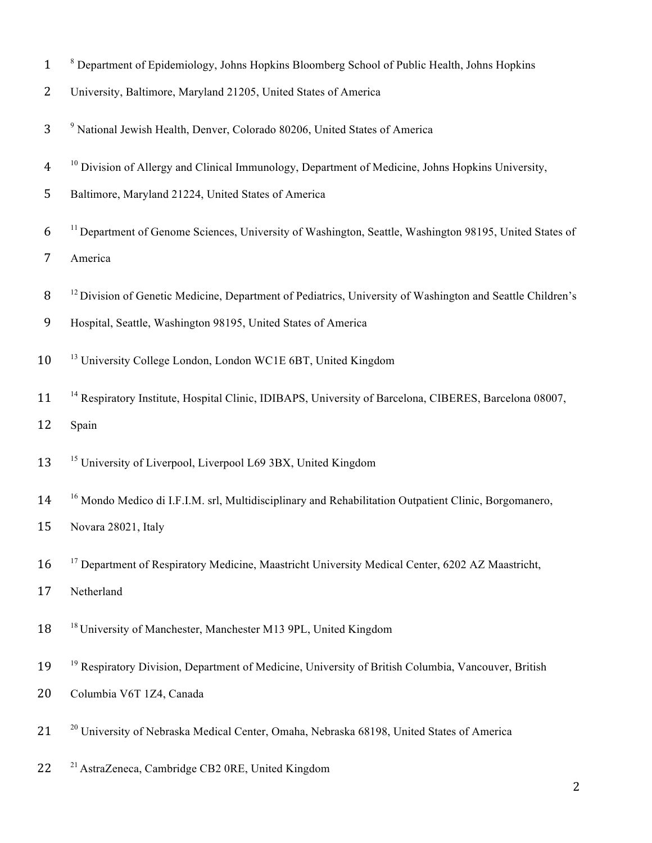- <sup>8</sup> Department of Epidemiology, Johns Hopkins Bloomberg School of Public Health, Johns Hopkins
- University, Baltimore, Maryland 21205, United States of America
- <sup>9</sup> National Jewish Health, Denver, Colorado 80206, United States of America
- <sup>10</sup> Division of Allergy and Clinical Immunology, Department of Medicine, Johns Hopkins University,
- Baltimore, Maryland 21224, United States of America
- 6<sup>11</sup> Department of Genome Sciences, University of Washington, Seattle, Washington 98195, United States of

America

- 8<sup>12</sup> Division of Genetic Medicine, Department of Pediatrics, University of Washington and Seattle Children's
- Hospital, Seattle, Washington 98195, United States of America
- <sup>13</sup> University College London, London WC1E 6BT, United Kingdom
- 11 <sup>14</sup> Respiratory Institute, Hospital Clinic, IDIBAPS, University of Barcelona, CIBERES, Barcelona 08007, Spain
- <sup>15</sup> University of Liverpool, Liverpool L69 3BX, United Kingdom
- <sup>16</sup> Mondo Medico di I.F.I.M. srl, Multidisciplinary and Rehabilitation Outpatient Clinic, Borgomanero,
- Novara 28021, Italy
- 16 <sup>17</sup> Department of Respiratory Medicine, Maastricht University Medical Center, 6202 AZ Maastricht,
- Netherland
- <sup>18</sup> University of Manchester, Manchester M13 9PL, United Kingdom
- 19 <sup>19</sup> Respiratory Division, Department of Medicine, University of British Columbia, Vancouver, British
- Columbia V6T 1Z4, Canada
- 21 <sup>20</sup> University of Nebraska Medical Center, Omaha, Nebraska 68198, United States of America
- 22 <sup>21</sup> AstraZeneca, Cambridge CB2 0RE, United Kingdom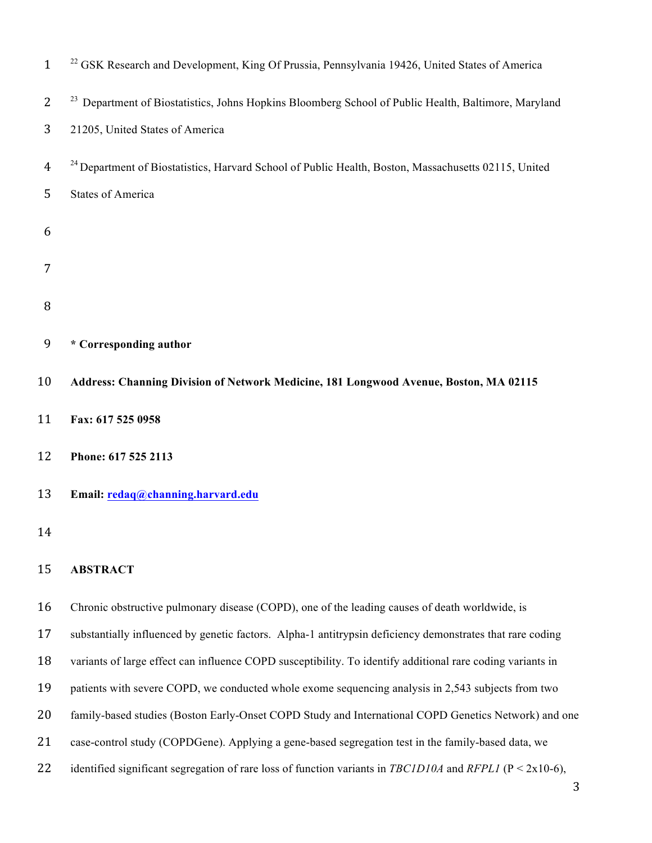| $\mathbf{1}$   | <sup>22</sup> GSK Research and Development, King Of Prussia, Pennsylvania 19426, United States of America       |
|----------------|-----------------------------------------------------------------------------------------------------------------|
| $\overline{2}$ | <sup>23</sup> Department of Biostatistics, Johns Hopkins Bloomberg School of Public Health, Baltimore, Maryland |
| 3              | 21205, United States of America                                                                                 |
| 4              | <sup>24</sup> Department of Biostatistics, Harvard School of Public Health, Boston, Massachusetts 02115, United |
| 5              | <b>States of America</b>                                                                                        |
| 6              |                                                                                                                 |
| 7              |                                                                                                                 |
|                |                                                                                                                 |
| 8              |                                                                                                                 |
| 9              | * Corresponding author                                                                                          |
| 10             | Address: Channing Division of Network Medicine, 181 Longwood Avenue, Boston, MA 02115                           |
| 11             | Fax: 617 525 0958                                                                                               |
| 12             | Phone: 617 525 2113                                                                                             |
| 13             | Email: redaq@channing.harvard.edu                                                                               |
| 14             |                                                                                                                 |
| 15             | <b>ABSTRACT</b>                                                                                                 |
| 16             | Chronic obstructive pulmonary disease (COPD), one of the leading causes of death worldwide, is                  |
| 17             | substantially influenced by genetic factors. Alpha-1 antitrypsin deficiency demonstrates that rare coding       |
| 18             | variants of large effect can influence COPD susceptibility. To identify additional rare coding variants in      |
| 19             | patients with severe COPD, we conducted whole exome sequencing analysis in 2,543 subjects from two              |
| 20             | family-based studies (Boston Early-Onset COPD Study and International COPD Genetics Network) and one            |
| 21             | case-control study (COPDGene). Applying a gene-based segregation test in the family-based data, we              |

identified significant segregation of rare loss of function variants in *TBC1D10A* and *RFPL1* (P < 2x10-6),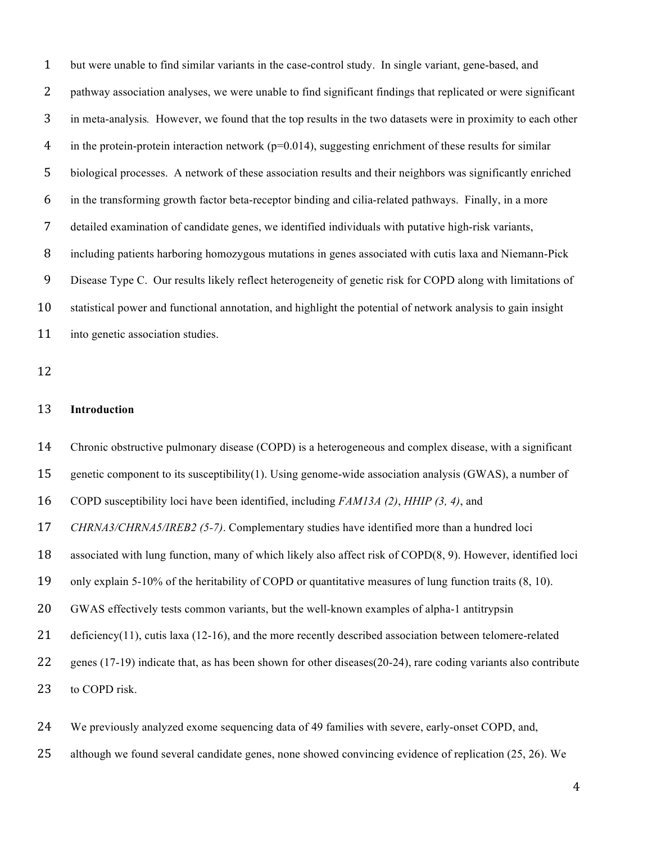but were unable to find similar variants in the case-control study. In single variant, gene-based, and pathway association analyses, we were unable to find significant findings that replicated or were significant in meta-analysis*.* However, we found that the top results in the two datasets were in proximity to each other 4 in the protein-protein interaction network ( $p=0.014$ ), suggesting enrichment of these results for similar biological processes. A network of these association results and their neighbors was significantly enriched in the transforming growth factor beta-receptor binding and cilia-related pathways. Finally, in a more detailed examination of candidate genes, we identified individuals with putative high-risk variants, including patients harboring homozygous mutations in genes associated with cutis laxa and Niemann-Pick Disease Type C. Our results likely reflect heterogeneity of genetic risk for COPD along with limitations of statistical power and functional annotation, and highlight the potential of network analysis to gain insight 11 into genetic association studies. **Introduction**

 Chronic obstructive pulmonary disease (COPD) is a heterogeneous and complex disease, with a significant genetic component to its susceptibility(1). Using genome-wide association analysis (GWAS), a number of COPD susceptibility loci have been identified, including *FAM13A (2)*, *HHIP (3, 4)*, and *CHRNA3/CHRNA5/IREB2 (5-7)*. Complementary studies have identified more than a hundred loci associated with lung function, many of which likely also affect risk of COPD(8, 9). However, identified loci only explain 5-10% of the heritability of COPD or quantitative measures of lung function traits (8, 10). GWAS effectively tests common variants, but the well-known examples of alpha-1 antitrypsin 21 deficiency(11), cutis laxa (12-16), and the more recently described association between telomere-related genes (17-19) indicate that, as has been shown for other diseases(20-24), rare coding variants also contribute to COPD risk.

We previously analyzed exome sequencing data of 49 families with severe, early-onset COPD, and,

although we found several candidate genes, none showed convincing evidence of replication (25, 26). We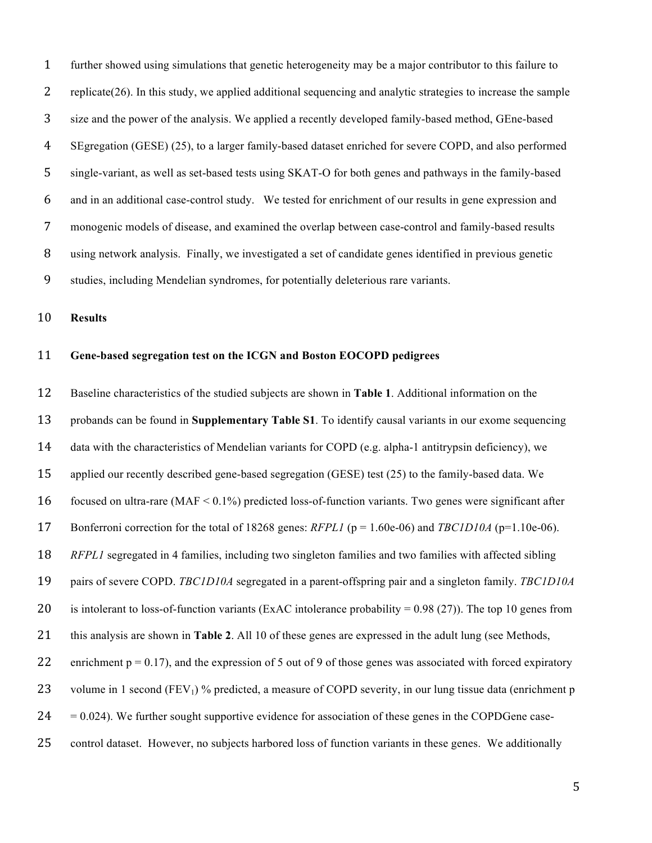further showed using simulations that genetic heterogeneity may be a major contributor to this failure to replicate(26). In this study, we applied additional sequencing and analytic strategies to increase the sample size and the power of the analysis. We applied a recently developed family-based method, GEne-based SEgregation (GESE) (25), to a larger family-based dataset enriched for severe COPD, and also performed single-variant, as well as set-based tests using SKAT-O for both genes and pathways in the family-based and in an additional case-control study. We tested for enrichment of our results in gene expression and monogenic models of disease, and examined the overlap between case-control and family-based results using network analysis. Finally, we investigated a set of candidate genes identified in previous genetic studies, including Mendelian syndromes, for potentially deleterious rare variants.

**Results**

#### **Gene-based segregation test on the ICGN and Boston EOCOPD pedigrees**

 Baseline characteristics of the studied subjects are shown in **Table 1**. Additional information on the probands can be found in **Supplementary Table S1**. To identify causal variants in our exome sequencing data with the characteristics of Mendelian variants for COPD (e.g. alpha-1 antitrypsin deficiency), we applied our recently described gene-based segregation (GESE) test (25) to the family-based data. We focused on ultra-rare (MAF < 0.1%) predicted loss-of-function variants. Two genes were significant after Bonferroni correction for the total of 18268 genes: *RFPL1* (p = 1.60e-06) and *TBC1D10A* (p=1.10e-06). *RFPL1* segregated in 4 families, including two singleton families and two families with affected sibling pairs of severe COPD. *TBC1D10A* segregated in a parent-offspring pair and a singleton family. *TBC1D10A* 20 is intolerant to loss-of-function variants (ExAC intolerance probability =  $0.98$  (27)). The top 10 genes from this analysis are shown in **Table 2**. All 10 of these genes are expressed in the adult lung (see Methods, 22 enrichment  $p = 0.17$ ), and the expression of 5 out of 9 of those genes was associated with forced expiratory 23 volume in 1 second (FEV<sub>1</sub>) % predicted, a measure of COPD severity, in our lung tissue data (enrichment p  $24 = 0.024$ ). We further sought supportive evidence for association of these genes in the COPDGene case-control dataset. However, no subjects harbored loss of function variants in these genes. We additionally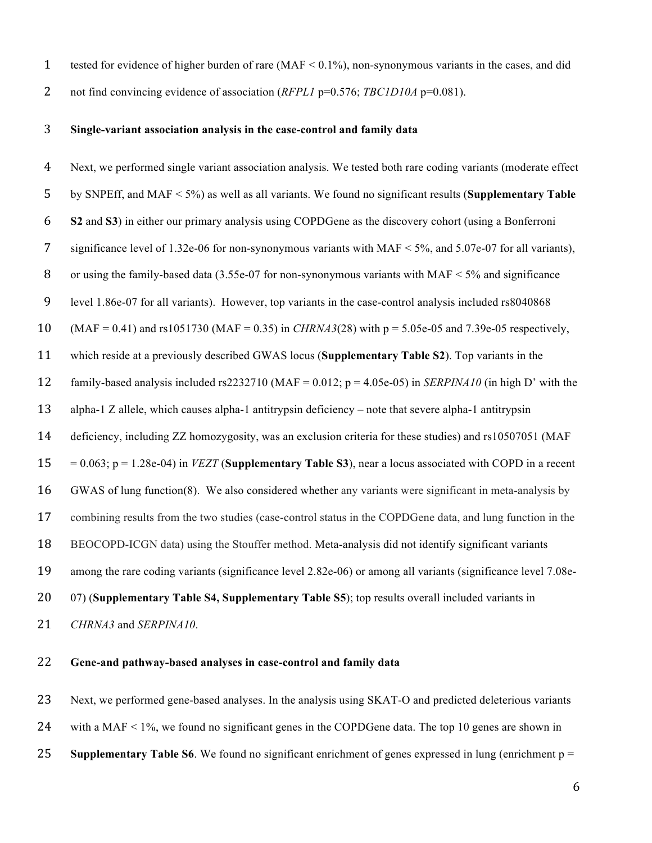tested for evidence of higher burden of rare (MAF < 0.1%), non-synonymous variants in the cases, and did

2 not find convincing evidence of association (*RFPL1* p=0.576; *TBC1D10A* p=0.081).

# **Single-variant association analysis in the case-control and family data**

| 4              | Next, we performed single variant association analysis. We tested both rare coding variants (moderate effect     |
|----------------|------------------------------------------------------------------------------------------------------------------|
| 5              | by SNPEff, and MAF $\lt$ 5%) as well as all variants. We found no significant results (Supplementary Table       |
| 6              | S2 and S3) in either our primary analysis using COPDGene as the discovery cohort (using a Bonferroni             |
| $\overline{7}$ | significance level of 1.32e-06 for non-synonymous variants with MAF $\leq$ 5%, and 5.07e-07 for all variants),   |
| 8              | or using the family-based data (3.55e-07 for non-synonymous variants with $MAF < 5\%$ and significance           |
| 9              | level 1.86e-07 for all variants). However, top variants in the case-control analysis included rs8040868          |
| 10             | $(MAF = 0.41)$ and rs1051730 (MAF = 0.35) in <i>CHRNA3</i> (28) with $p = 5.05e-05$ and 7.39e-05 respectively,   |
| 11             | which reside at a previously described GWAS locus (Supplementary Table S2). Top variants in the                  |
| 12             | family-based analysis included rs2232710 (MAF = $0.012$ ; p = 4.05e-05) in <i>SERPINA10</i> (in high D' with the |
| 13             | alpha-1 Z allele, which causes alpha-1 antitrypsin deficiency – note that severe alpha-1 antitrypsin             |
| 14             | deficiency, including ZZ homozygosity, was an exclusion criteria for these studies) and rs10507051 (MAF          |
| 15             | $= 0.063$ ; p = 1.28e-04) in <i>VEZT</i> (Supplementary Table S3), near a locus associated with COPD in a recent |
| 16             | GWAS of lung function(8). We also considered whether any variants were significant in meta-analysis by           |
| 17             | combining results from the two studies (case-control status in the COPDGene data, and lung function in the       |
| 18             | BEOCOPD-ICGN data) using the Stouffer method. Meta-analysis did not identify significant variants                |
| 19             | among the rare coding variants (significance level 2.82e-06) or among all variants (significance level 7.08e-    |
| 20             | 07) (Supplementary Table S4, Supplementary Table S5); top results overall included variants in                   |
| 21             | CHRNA3 and SERPINA10.                                                                                            |
|                |                                                                                                                  |

# **Gene-and pathway-based analyses in case-control and family data**

Next, we performed gene-based analyses. In the analysis using SKAT-O and predicted deleterious variants

- with a MAF < 1%, we found no significant genes in the COPDGene data. The top 10 genes are shown in
- **Supplementary Table S6**. We found no significant enrichment of genes expressed in lung (enrichment p =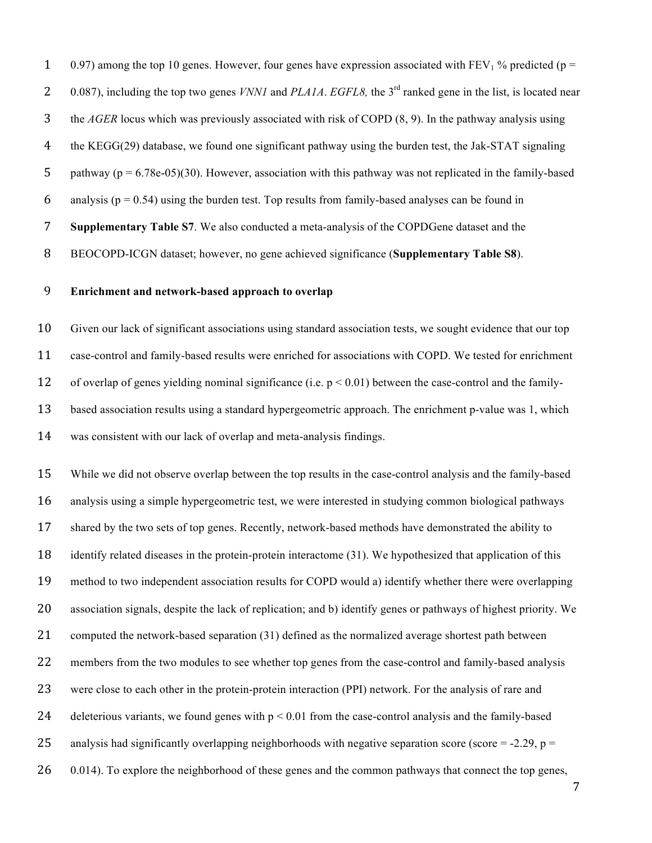1 0.97) among the top 10 genes. However, four genes have expression associated with  $FEV<sub>1</sub>$ % predicted (p = 2 0.087), including the top two genes *VNN1* and *PLA1A*. *EGFL8*, the 3<sup>rd</sup> ranked gene in the list, is located near the *AGER* locus which was previously associated with risk of COPD (8, 9). In the pathway analysis using the KEGG(29) database, we found one significant pathway using the burden test, the Jak-STAT signaling 5 pathway ( $p = 6.78e-05$ )(30). However, association with this pathway was not replicated in the family-based 6 analysis ( $p = 0.54$ ) using the burden test. Top results from family-based analyses can be found in **Supplementary Table S7**. We also conducted a meta-analysis of the COPDGene dataset and the BEOCOPD-ICGN dataset; however, no gene achieved significance (**Supplementary Table S8**).

### **Enrichment and network-based approach to overlap**

 Given our lack of significant associations using standard association tests, we sought evidence that our top case-control and family-based results were enriched for associations with COPD. We tested for enrichment of overlap of genes yielding nominal significance (i.e. p < 0.01) between the case-control and the family- based association results using a standard hypergeometric approach. The enrichment p-value was 1, which was consistent with our lack of overlap and meta-analysis findings.

 While we did not observe overlap between the top results in the case-control analysis and the family-based analysis using a simple hypergeometric test, we were interested in studying common biological pathways shared by the two sets of top genes. Recently, network-based methods have demonstrated the ability to identify related diseases in the protein-protein interactome (31). We hypothesized that application of this method to two independent association results for COPD would a) identify whether there were overlapping association signals, despite the lack of replication; and b) identify genes or pathways of highest priority. We computed the network-based separation (31) defined as the normalized average shortest path between members from the two modules to see whether top genes from the case-control and family-based analysis were close to each other in the protein-protein interaction (PPI) network. For the analysis of rare and 24 deleterious variants, we found genes with  $p < 0.01$  from the case-control analysis and the family-based 25 analysis had significantly overlapping neighborhoods with negative separation score (score = -2.29,  $p =$ 26 0.014). To explore the neighborhood of these genes and the common pathways that connect the top genes,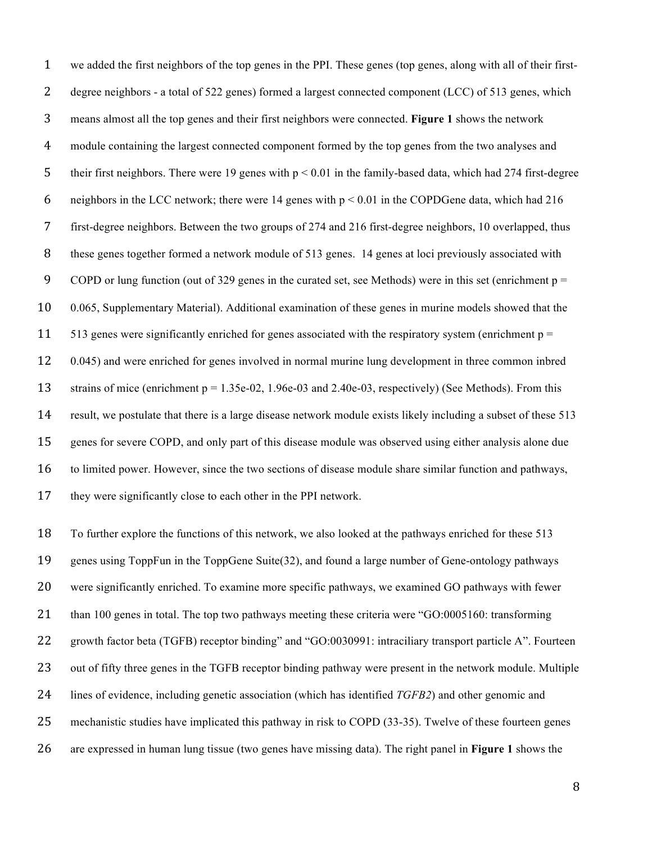we added the first neighbors of the top genes in the PPI. These genes (top genes, along with all of their first- degree neighbors - a total of 522 genes) formed a largest connected component (LCC) of 513 genes, which means almost all the top genes and their first neighbors were connected. **Figure 1** shows the network module containing the largest connected component formed by the top genes from the two analyses and their first neighbors. There were 19 genes with p < 0.01 in the family-based data, which had 274 first-degree 6 neighbors in the LCC network; there were 14 genes with  $p < 0.01$  in the COPDGene data, which had 216 first-degree neighbors. Between the two groups of 274 and 216 first-degree neighbors, 10 overlapped, thus these genes together formed a network module of 513 genes. 14 genes at loci previously associated with 9 COPD or lung function (out of 329 genes in the curated set, see Methods) were in this set (enrichment  $p =$  0.065, Supplementary Material). Additional examination of these genes in murine models showed that the 11 513 genes were significantly enriched for genes associated with the respiratory system (enrichment  $p =$  0.045) and were enriched for genes involved in normal murine lung development in three common inbred strains of mice (enrichment p = 1.35e-02, 1.96e-03 and 2.40e-03, respectively) (See Methods). From this result, we postulate that there is a large disease network module exists likely including a subset of these 513 genes for severe COPD, and only part of this disease module was observed using either analysis alone due to limited power. However, since the two sections of disease module share similar function and pathways, they were significantly close to each other in the PPI network.

 To further explore the functions of this network, we also looked at the pathways enriched for these 513 genes using ToppFun in the ToppGene Suite(32), and found a large number of Gene-ontology pathways were significantly enriched. To examine more specific pathways, we examined GO pathways with fewer 21 than 100 genes in total. The top two pathways meeting these criteria were "GO:0005160: transforming 22 growth factor beta (TGFB) receptor binding" and "GO:0030991: intraciliary transport particle A". Fourteen out of fifty three genes in the TGFB receptor binding pathway were present in the network module. Multiple lines of evidence, including genetic association (which has identified *TGFB2*) and other genomic and mechanistic studies have implicated this pathway in risk to COPD (33-35). Twelve of these fourteen genes are expressed in human lung tissue (two genes have missing data). The right panel in **Figure 1** shows the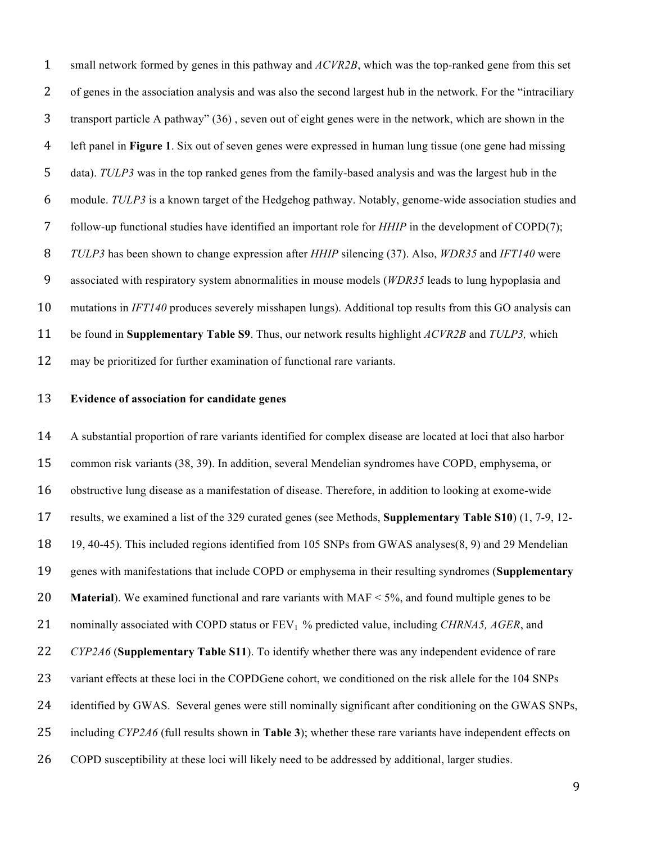small network formed by genes in this pathway and *ACVR2B*, which was the top-ranked gene from this set of genes in the association analysis and was also the second largest hub in the network. For the "intraciliary transport particle A pathway" (36) , seven out of eight genes were in the network, which are shown in the left panel in **Figure 1**. Six out of seven genes were expressed in human lung tissue (one gene had missing data). *TULP3* was in the top ranked genes from the family-based analysis and was the largest hub in the module. *TULP3* is a known target of the Hedgehog pathway. Notably, genome-wide association studies and follow-up functional studies have identified an important role for *HHIP* in the development of COPD(7); *TULP3* has been shown to change expression after *HHIP* silencing (37). Also, *WDR35* and *IFT140* were associated with respiratory system abnormalities in mouse models (*WDR35* leads to lung hypoplasia and mutations in *IFT140* produces severely misshapen lungs). Additional top results from this GO analysis can be found in **Supplementary Table S9**. Thus, our network results highlight *ACVR2B* and *TULP3,* which may be prioritized for further examination of functional rare variants.

### **Evidence of association for candidate genes**

 A substantial proportion of rare variants identified for complex disease are located at loci that also harbor common risk variants (38, 39). In addition, several Mendelian syndromes have COPD, emphysema, or obstructive lung disease as a manifestation of disease. Therefore, in addition to looking at exome-wide results, we examined a list of the 329 curated genes (see Methods, **Supplementary Table S10**) (1, 7-9, 12- 19, 40-45). This included regions identified from 105 SNPs from GWAS analyses(8, 9) and 29 Mendelian genes with manifestations that include COPD or emphysema in their resulting syndromes (**Supplementary Material**). We examined functional and rare variants with MAF < 5%, and found multiple genes to be 21 nominally associated with COPD status or FEV<sub>1</sub> % predicted value, including *CHRNA5, AGER*, and *CYP2A6* (**Supplementary Table S11**). To identify whether there was any independent evidence of rare 23 variant effects at these loci in the COPDGene cohort, we conditioned on the risk allele for the 104 SNPs 24 identified by GWAS. Several genes were still nominally significant after conditioning on the GWAS SNPs, including *CYP2A6* (full results shown in **Table 3**); whether these rare variants have independent effects on COPD susceptibility at these loci will likely need to be addressed by additional, larger studies.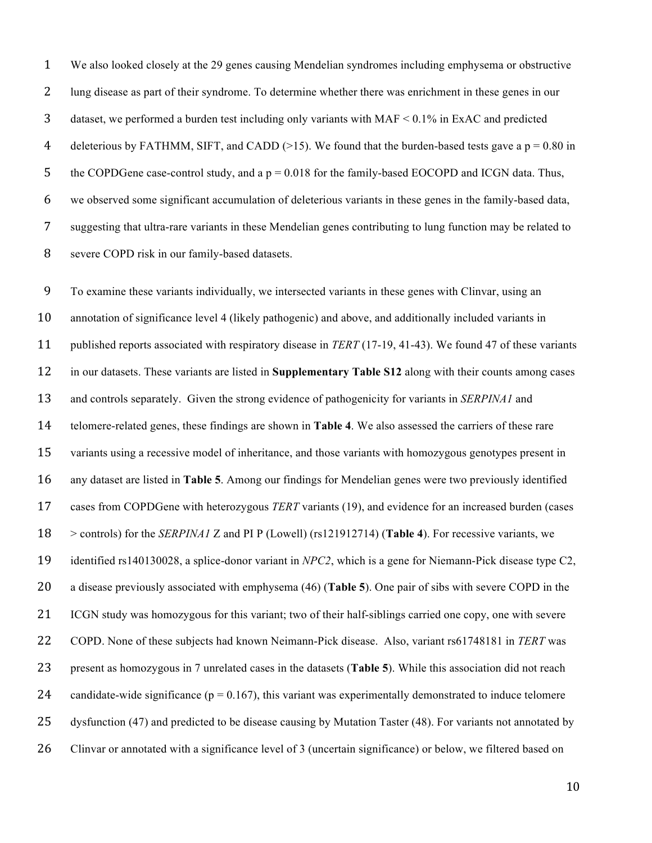We also looked closely at the 29 genes causing Mendelian syndromes including emphysema or obstructive lung disease as part of their syndrome. To determine whether there was enrichment in these genes in our dataset, we performed a burden test including only variants with MAF < 0.1% in ExAC and predicted 4 deleterious by FATHMM, SIFT, and CADD ( $>15$ ). We found that the burden-based tests gave a p = 0.80 in 5 the COPDGene case-control study, and a  $p = 0.018$  for the family-based EOCOPD and ICGN data. Thus, we observed some significant accumulation of deleterious variants in these genes in the family-based data, suggesting that ultra-rare variants in these Mendelian genes contributing to lung function may be related to severe COPD risk in our family-based datasets.

 To examine these variants individually, we intersected variants in these genes with Clinvar, using an annotation of significance level 4 (likely pathogenic) and above, and additionally included variants in published reports associated with respiratory disease in *TERT* (17-19, 41-43). We found 47 of these variants in our datasets. These variants are listed in **Supplementary Table S12** along with their counts among cases and controls separately. Given the strong evidence of pathogenicity for variants in *SERPINA1* and telomere-related genes, these findings are shown in **Table 4**. We also assessed the carriers of these rare variants using a recessive model of inheritance, and those variants with homozygous genotypes present in any dataset are listed in **Table 5**. Among our findings for Mendelian genes were two previously identified cases from COPDGene with heterozygous *TERT* variants (19), and evidence for an increased burden (cases > controls) for the *SERPINA1* Z and PI P (Lowell) (rs121912714) (**Table 4**). For recessive variants, we identified rs140130028, a splice-donor variant in *NPC2*, which is a gene for Niemann-Pick disease type C2, a disease previously associated with emphysema (46) (**Table 5**). One pair of sibs with severe COPD in the ICGN study was homozygous for this variant; two of their half-siblings carried one copy, one with severe COPD. None of these subjects had known Neimann-Pick disease. Also, variant rs61748181 in *TERT* was present as homozygous in 7 unrelated cases in the datasets (**Table 5**). While this association did not reach 24 candidate-wide significance ( $p = 0.167$ ), this variant was experimentally demonstrated to induce telomere dysfunction (47) and predicted to be disease causing by Mutation Taster (48). For variants not annotated by Clinvar or annotated with a significance level of 3 (uncertain significance) or below, we filtered based on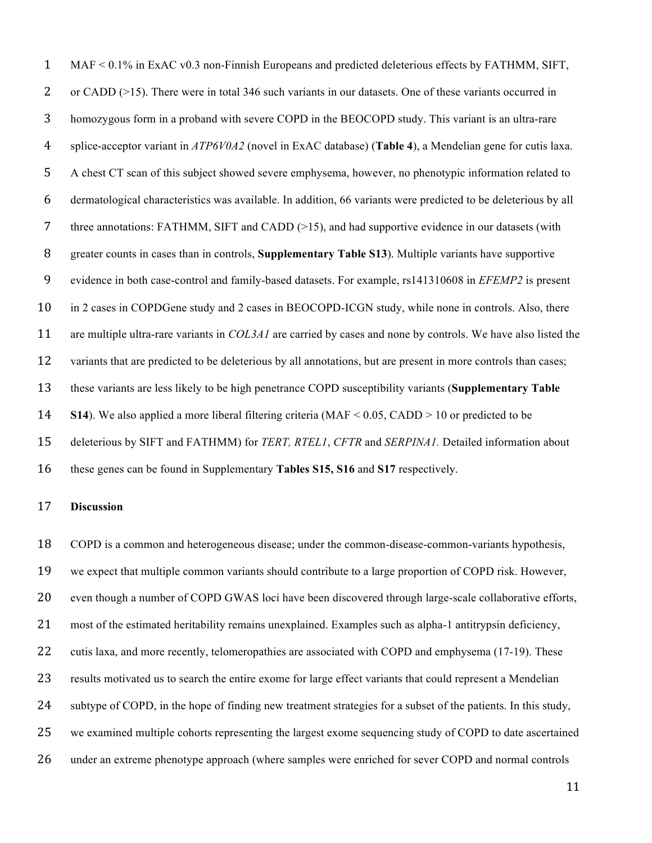MAF < 0.1% in ExAC v0.3 non-Finnish Europeans and predicted deleterious effects by FATHMM, SIFT, 2 or CADD (>15). There were in total 346 such variants in our datasets. One of these variants occurred in homozygous form in a proband with severe COPD in the BEOCOPD study. This variant is an ultra-rare splice-acceptor variant in *ATP6V0A2* (novel in ExAC database) (**Table 4**), a Mendelian gene for cutis laxa. A chest CT scan of this subject showed severe emphysema, however, no phenotypic information related to dermatological characteristics was available. In addition, 66 variants were predicted to be deleterious by all 7 three annotations: FATHMM, SIFT and CADD (>15), and had supportive evidence in our datasets (with greater counts in cases than in controls, **Supplementary Table S13**). Multiple variants have supportive evidence in both case-control and family-based datasets. For example, rs141310608 in *EFEMP2* is present in 2 cases in COPDGene study and 2 cases in BEOCOPD-ICGN study, while none in controls. Also, there are multiple ultra-rare variants in *COL3A1* are carried by cases and none by controls. We have also listed the 12 variants that are predicted to be deleterious by all annotations, but are present in more controls than cases; these variants are less likely to be high penetrance COPD susceptibility variants (**Supplementary Table S14**). We also applied a more liberal filtering criteria (MAF < 0.05, CADD > 10 or predicted to be deleterious by SIFT and FATHMM) for *TERT, RTEL1*, *CFTR* and *SERPINA1.* Detailed information about these genes can be found in Supplementary **Tables S15, S16** and **S17** respectively.

## **Discussion**

 COPD is a common and heterogeneous disease; under the common-disease-common-variants hypothesis, we expect that multiple common variants should contribute to a large proportion of COPD risk. However, even though a number of COPD GWAS loci have been discovered through large-scale collaborative efforts, most of the estimated heritability remains unexplained. Examples such as alpha-1 antitrypsin deficiency, 22 cutis laxa, and more recently, telomeropathies are associated with COPD and emphysema (17-19). These results motivated us to search the entire exome for large effect variants that could represent a Mendelian 24 subtype of COPD, in the hope of finding new treatment strategies for a subset of the patients. In this study, we examined multiple cohorts representing the largest exome sequencing study of COPD to date ascertained under an extreme phenotype approach (where samples were enriched for sever COPD and normal controls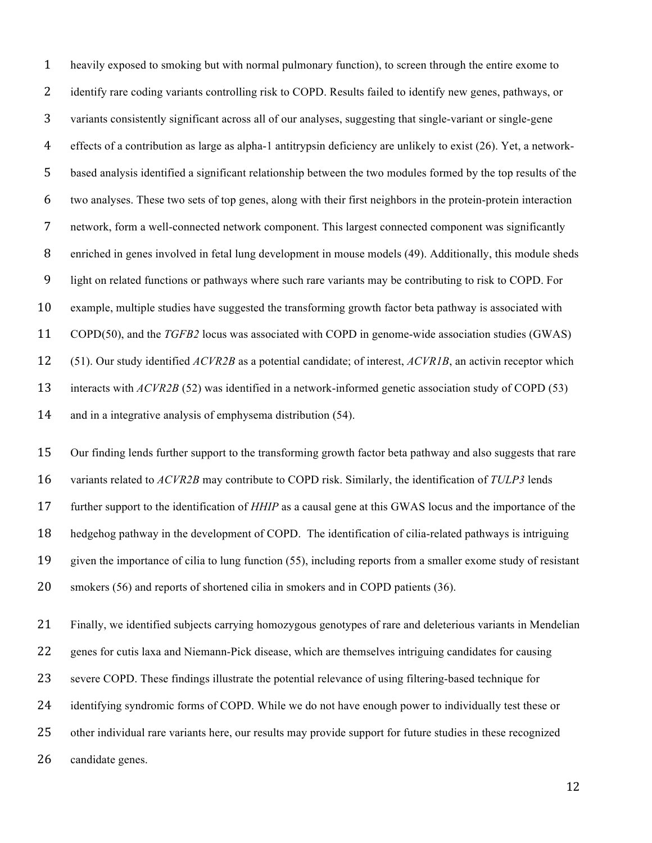heavily exposed to smoking but with normal pulmonary function), to screen through the entire exome to 2 identify rare coding variants controlling risk to COPD. Results failed to identify new genes, pathways, or variants consistently significant across all of our analyses, suggesting that single-variant or single-gene effects of a contribution as large as alpha-1 antitrypsin deficiency are unlikely to exist (26). Yet, a network- based analysis identified a significant relationship between the two modules formed by the top results of the two analyses. These two sets of top genes, along with their first neighbors in the protein-protein interaction network, form a well-connected network component. This largest connected component was significantly enriched in genes involved in fetal lung development in mouse models (49). Additionally, this module sheds light on related functions or pathways where such rare variants may be contributing to risk to COPD. For example, multiple studies have suggested the transforming growth factor beta pathway is associated with COPD(50), and the *TGFB2* locus was associated with COPD in genome-wide association studies (GWAS) (51). Our study identified *ACVR2B* as a potential candidate; of interest, *ACVR1B*, an activin receptor which 13 interacts with *ACVR2B* (52) was identified in a network-informed genetic association study of COPD (53) and in a integrative analysis of emphysema distribution (54).

 Our finding lends further support to the transforming growth factor beta pathway and also suggests that rare variants related to *ACVR2B* may contribute to COPD risk. Similarly, the identification of *TULP3* lends further support to the identification of *HHIP* as a causal gene at this GWAS locus and the importance of the hedgehog pathway in the development of COPD. The identification of cilia-related pathways is intriguing given the importance of cilia to lung function (55), including reports from a smaller exome study of resistant smokers (56) and reports of shortened cilia in smokers and in COPD patients (36).

 Finally, we identified subjects carrying homozygous genotypes of rare and deleterious variants in Mendelian genes for cutis laxa and Niemann-Pick disease, which are themselves intriguing candidates for causing severe COPD. These findings illustrate the potential relevance of using filtering-based technique for identifying syndromic forms of COPD. While we do not have enough power to individually test these or other individual rare variants here, our results may provide support for future studies in these recognized candidate genes.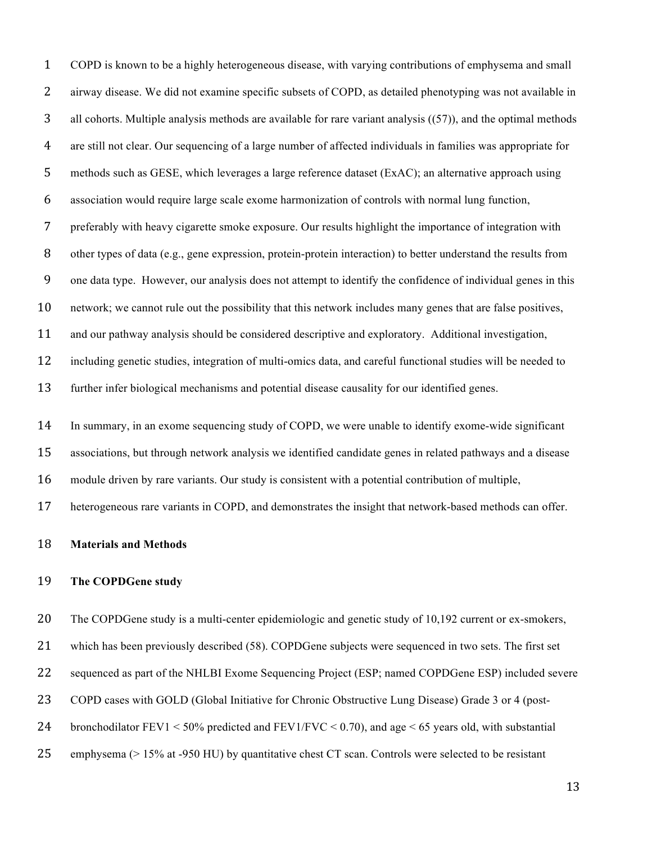COPD is known to be a highly heterogeneous disease, with varying contributions of emphysema and small airway disease. We did not examine specific subsets of COPD, as detailed phenotyping was not available in 3 all cohorts. Multiple analysis methods are available for rare variant analysis ((57)), and the optimal methods are still not clear. Our sequencing of a large number of affected individuals in families was appropriate for methods such as GESE, which leverages a large reference dataset (ExAC); an alternative approach using association would require large scale exome harmonization of controls with normal lung function, preferably with heavy cigarette smoke exposure. Our results highlight the importance of integration with other types of data (e.g., gene expression, protein-protein interaction) to better understand the results from one data type. However, our analysis does not attempt to identify the confidence of individual genes in this network; we cannot rule out the possibility that this network includes many genes that are false positives, and our pathway analysis should be considered descriptive and exploratory. Additional investigation, including genetic studies, integration of multi-omics data, and careful functional studies will be needed to further infer biological mechanisms and potential disease causality for our identified genes.

 In summary, in an exome sequencing study of COPD, we were unable to identify exome-wide significant associations, but through network analysis we identified candidate genes in related pathways and a disease module driven by rare variants. Our study is consistent with a potential contribution of multiple, heterogeneous rare variants in COPD, and demonstrates the insight that network-based methods can offer.

#### **Materials and Methods**

### **The COPDGene study**

The COPDGene study is a multi-center epidemiologic and genetic study of 10,192 current or ex-smokers,

which has been previously described (58). COPDGene subjects were sequenced in two sets. The first set

sequenced as part of the NHLBI Exome Sequencing Project (ESP; named COPDGene ESP) included severe

COPD cases with GOLD (Global Initiative for Chronic Obstructive Lung Disease) Grade 3 or 4 (post-

24 bronchodilator FEV1 <  $50\%$  predicted and FEV1/FVC < 0.70), and age < 65 years old, with substantial

emphysema (> 15% at -950 HU) by quantitative chest CT scan. Controls were selected to be resistant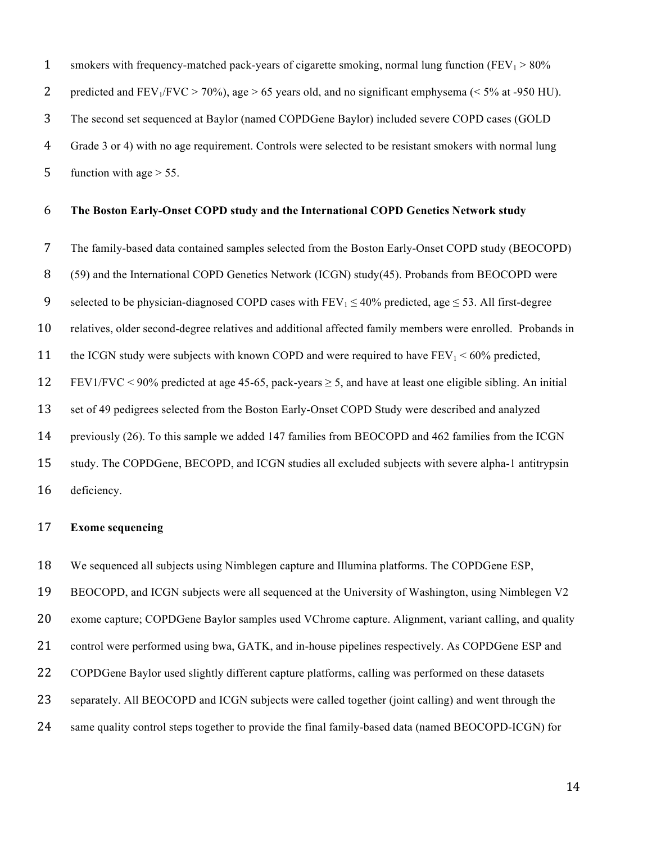1 smokers with frequency-matched pack-years of cigarette smoking, normal lung function ( $FEV_1 > 80\%$ ) 2 predicted and  $FEV_1/FVC > 70\%$ ), age  $> 65$  years old, and no significant emphysema ( $< 5\%$  at -950 HU). The second set sequenced at Baylor (named COPDGene Baylor) included severe COPD cases (GOLD Grade 3 or 4) with no age requirement. Controls were selected to be resistant smokers with normal lung 5 function with age  $> 55$ .

#### **The Boston Early-Onset COPD study and the International COPD Genetics Network study**

 The family-based data contained samples selected from the Boston Early-Onset COPD study (BEOCOPD) (59) and the International COPD Genetics Network (ICGN) study(45). Probands from BEOCOPD were 9 selected to be physician-diagnosed COPD cases with  $FEV_1 \le 40\%$  predicted, age  $\le 53$ . All first-degree relatives, older second-degree relatives and additional affected family members were enrolled. Probands in 11 the ICGN study were subjects with known COPD and were required to have  $FEV_1 < 60\%$  predicted, 12 FEV1/FVC < 90% predicted at age 45-65, pack-years  $\geq$  5, and have at least one eligible sibling. An initial set of 49 pedigrees selected from the Boston Early-Onset COPD Study were described and analyzed previously (26). To this sample we added 147 families from BEOCOPD and 462 families from the ICGN study. The COPDGene, BECOPD, and ICGN studies all excluded subjects with severe alpha-1 antitrypsin deficiency.

# **Exome sequencing**

We sequenced all subjects using Nimblegen capture and Illumina platforms. The COPDGene ESP,

BEOCOPD, and ICGN subjects were all sequenced at the University of Washington, using Nimblegen V2

exome capture; COPDGene Baylor samples used VChrome capture. Alignment, variant calling, and quality

21 control were performed using bwa, GATK, and in-house pipelines respectively. As COPDGene ESP and

COPDGene Baylor used slightly different capture platforms, calling was performed on these datasets

separately. All BEOCOPD and ICGN subjects were called together (joint calling) and went through the

same quality control steps together to provide the final family-based data (named BEOCOPD-ICGN) for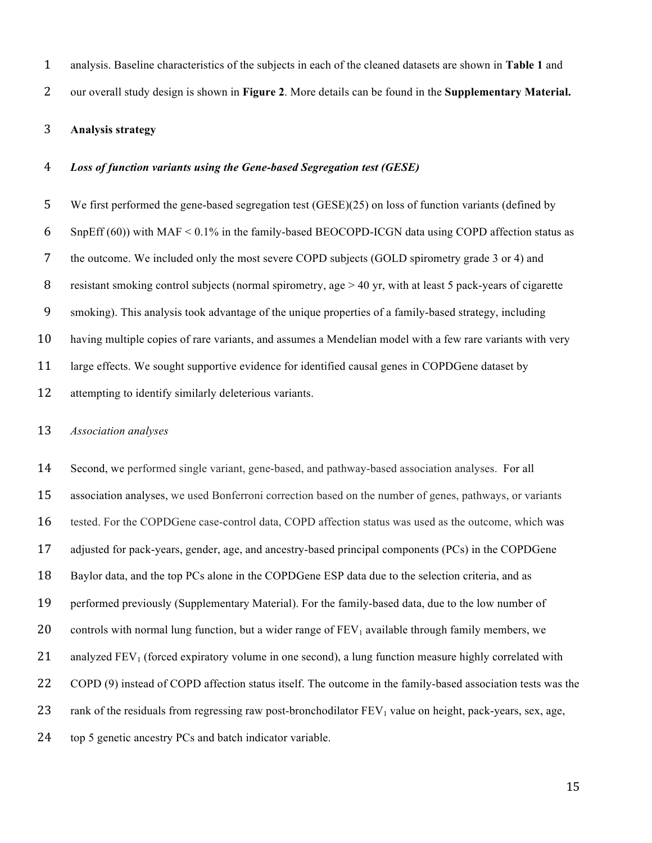analysis. Baseline characteristics of the subjects in each of the cleaned datasets are shown in **Table 1** and

our overall study design is shown in **Figure 2**. More details can be found in the **Supplementary Material.**

## **Analysis strategy**

#### *Loss of function variants using the Gene-based Segregation test (GESE)*

 We first performed the gene-based segregation test (GESE)(25) on loss of function variants (defined by 6 SnpEff (60)) with MAF  $\leq$  0.1% in the family-based BEOCOPD-ICGN data using COPD affection status as the outcome. We included only the most severe COPD subjects (GOLD spirometry grade 3 or 4) and resistant smoking control subjects (normal spirometry, age > 40 yr, with at least 5 pack-years of cigarette smoking). This analysis took advantage of the unique properties of a family-based strategy, including having multiple copies of rare variants, and assumes a Mendelian model with a few rare variants with very large effects. We sought supportive evidence for identified causal genes in COPDGene dataset by attempting to identify similarly deleterious variants.

#### *Association analyses*

 Second, we performed single variant, gene-based, and pathway-based association analyses. For all association analyses, we used Bonferroni correction based on the number of genes, pathways, or variants tested. For the COPDGene case-control data, COPD affection status was used as the outcome, which was adjusted for pack-years, gender, age, and ancestry-based principal components (PCs) in the COPDGene Baylor data, and the top PCs alone in the COPDGene ESP data due to the selection criteria, and as performed previously (Supplementary Material). For the family-based data, due to the low number of 20 controls with normal lung function, but a wider range of  $FEV_1$  available through family members, we 21 analyzed  $FEV<sub>1</sub>$  (forced expiratory volume in one second), a lung function measure highly correlated with COPD (9) instead of COPD affection status itself. The outcome in the family-based association tests was the 23 rank of the residuals from regressing raw post-bronchodilator  $FEV<sub>1</sub>$  value on height, pack-years, sex, age, top 5 genetic ancestry PCs and batch indicator variable.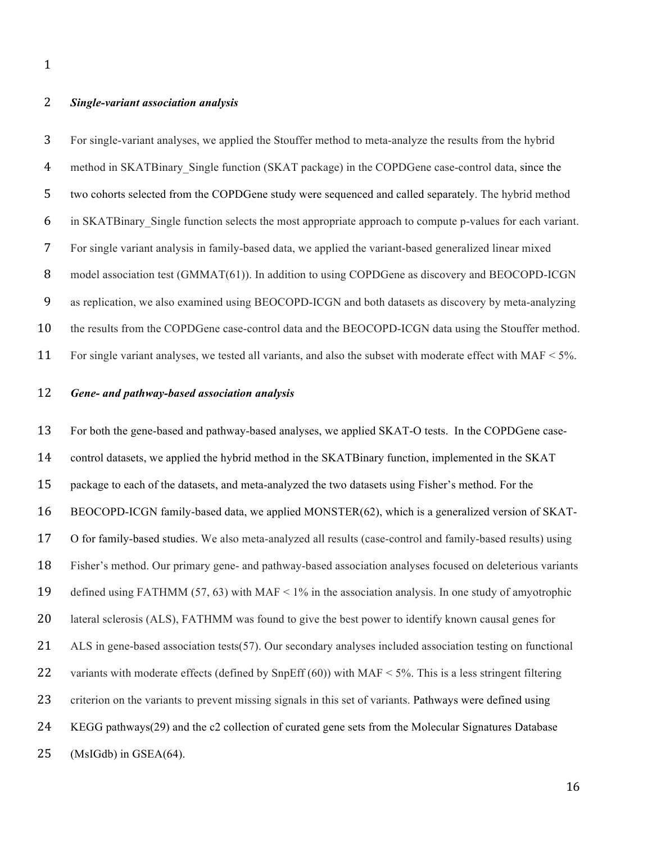### *Single-variant association analysis*

 For single-variant analyses, we applied the Stouffer method to meta-analyze the results from the hybrid method in SKATBinary\_Single function (SKAT package) in the COPDGene case-control data, since the two cohorts selected from the COPDGene study were sequenced and called separately. The hybrid method in SKATBinary\_Single function selects the most appropriate approach to compute p-values for each variant. For single variant analysis in family-based data, we applied the variant-based generalized linear mixed 8 model association test (GMMAT(61)). In addition to using COPDGene as discovery and BEOCOPD-ICGN as replication, we also examined using BEOCOPD-ICGN and both datasets as discovery by meta-analyzing the results from the COPDGene case-control data and the BEOCOPD-ICGN data using the Stouffer method. 11 For single variant analyses, we tested all variants, and also the subset with moderate effect with MAF < 5%.

### *Gene- and pathway-based association analysis*

 For both the gene-based and pathway-based analyses, we applied SKAT-O tests. In the COPDGene case- control datasets, we applied the hybrid method in the SKATBinary function, implemented in the SKAT package to each of the datasets, and meta-analyzed the two datasets using Fisher's method. For the BEOCOPD-ICGN family-based data, we applied MONSTER(62), which is a generalized version of SKAT- O for family-based studies. We also meta-analyzed all results (case-control and family-based results) using Fisher's method. Our primary gene- and pathway-based association analyses focused on deleterious variants defined using FATHMM (57, 63) with MAF < 1% in the association analysis. In one study of amyotrophic lateral sclerosis (ALS), FATHMM was found to give the best power to identify known causal genes for 21 ALS in gene-based association tests(57). Our secondary analyses included association testing on functional 22 variants with moderate effects (defined by SnpEff (60)) with MAF < 5%. This is a less stringent filtering criterion on the variants to prevent missing signals in this set of variants. Pathways were defined using KEGG pathways(29) and the c2 collection of curated gene sets from the Molecular Signatures Database (MsIGdb) in GSEA(64).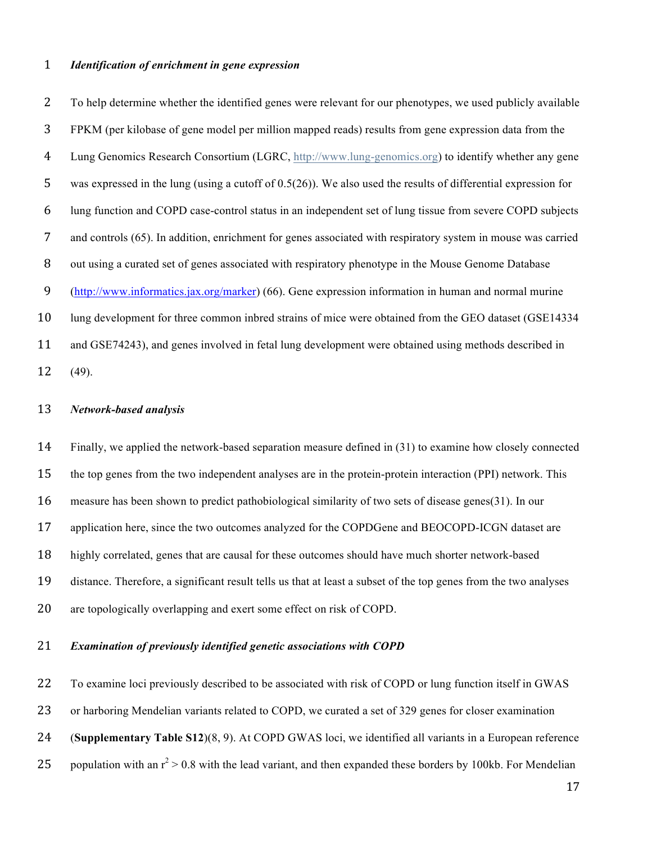### *Identification of enrichment in gene expression*

 To help determine whether the identified genes were relevant for our phenotypes, we used publicly available FPKM (per kilobase of gene model per million mapped reads) results from gene expression data from the Lung Genomics Research Consortium (LGRC, http://www.lung-genomics.org) to identify whether any gene was expressed in the lung (using a cutoff of 0.5(26)). We also used the results of differential expression for lung function and COPD case-control status in an independent set of lung tissue from severe COPD subjects and controls (65). In addition, enrichment for genes associated with respiratory system in mouse was carried out using a curated set of genes associated with respiratory phenotype in the Mouse Genome Database (http://www.informatics.jax.org/marker) (66). Gene expression information in human and normal murine lung development for three common inbred strains of mice were obtained from the GEO dataset (GSE14334 and GSE74243), and genes involved in fetal lung development were obtained using methods described in

(49).

#### *Network-based analysis*

 Finally, we applied the network-based separation measure defined in (31) to examine how closely connected the top genes from the two independent analyses are in the protein-protein interaction (PPI) network. This measure has been shown to predict pathobiological similarity of two sets of disease genes(31). In our 17 application here, since the two outcomes analyzed for the COPDGene and BEOCOPD-ICGN dataset are highly correlated, genes that are causal for these outcomes should have much shorter network-based distance. Therefore, a significant result tells us that at least a subset of the top genes from the two analyses are topologically overlapping and exert some effect on risk of COPD.

### *Examination of previously identified genetic associations with COPD*

 To examine loci previously described to be associated with risk of COPD or lung function itself in GWAS or harboring Mendelian variants related to COPD, we curated a set of 329 genes for closer examination (**Supplementary Table S12**)(8, 9). At COPD GWAS loci, we identified all variants in a European reference 25 population with an  $r^2 > 0.8$  with the lead variant, and then expanded these borders by 100kb. For Mendelian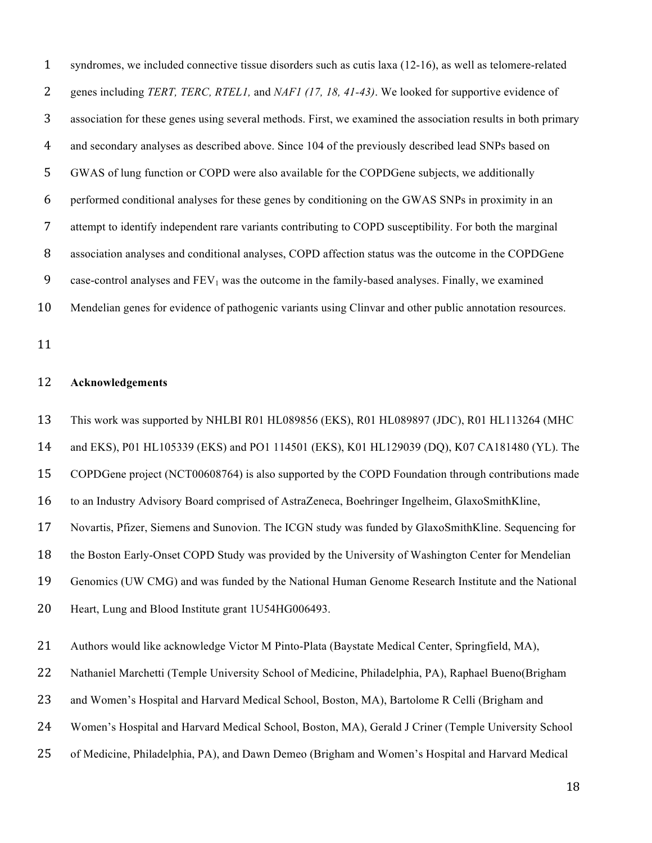| $\mathbf{1}$ | syndromes, we included connective tissue disorders such as cutis laxa (12-16), as well as telomere-related    |
|--------------|---------------------------------------------------------------------------------------------------------------|
| 2            | genes including TERT, TERC, RTEL1, and NAF1 (17, 18, 41-43). We looked for supportive evidence of             |
| 3            | association for these genes using several methods. First, we examined the association results in both primary |
| 4            | and secondary analyses as described above. Since 104 of the previously described lead SNPs based on           |
| 5            | GWAS of lung function or COPD were also available for the COPDGene subjects, we additionally                  |
| 6            | performed conditional analyses for these genes by conditioning on the GWAS SNPs in proximity in an            |
| 7            | attempt to identify independent rare variants contributing to COPD susceptibility. For both the marginal      |
| 8            | association analyses and conditional analyses, COPD affection status was the outcome in the COPDGene          |
| 9            | case-control analyses and $FEV_1$ was the outcome in the family-based analyses. Finally, we examined          |
| 10           | Mendelian genes for evidence of pathogenic variants using Clinvar and other public annotation resources.      |

### **Acknowledgements**

This work was supported by NHLBI R01 HL089856 (EKS), R01 HL089897 (JDC), R01 HL113264 (MHC

and EKS), P01 HL105339 (EKS) and PO1 114501 (EKS), K01 HL129039 (DQ), K07 CA181480 (YL). The

COPDGene project (NCT00608764) is also supported by the COPD Foundation through contributions made

to an Industry Advisory Board comprised of AstraZeneca, Boehringer Ingelheim, GlaxoSmithKline,

Novartis, Pfizer, Siemens and Sunovion. The ICGN study was funded by GlaxoSmithKline. Sequencing for

the Boston Early-Onset COPD Study was provided by the University of Washington Center for Mendelian

Genomics (UW CMG) and was funded by the National Human Genome Research Institute and the National

Heart, Lung and Blood Institute grant 1U54HG006493.

- Nathaniel Marchetti (Temple University School of Medicine, Philadelphia, PA), Raphael Bueno(Brigham
- and Women's Hospital and Harvard Medical School, Boston, MA), Bartolome R Celli (Brigham and
- Women's Hospital and Harvard Medical School, Boston, MA), Gerald J Criner (Temple University School
- of Medicine, Philadelphia, PA), and Dawn Demeo (Brigham and Women's Hospital and Harvard Medical

<sup>21</sup> Authors would like acknowledge Victor M Pinto-Plata (Baystate Medical Center, Springfield, MA),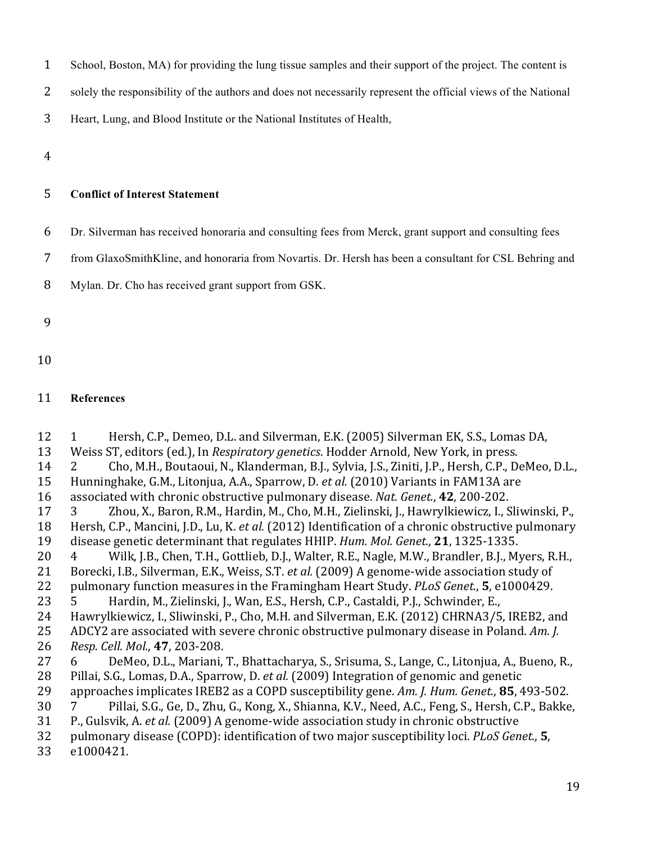| School, Boston, MA) for providing the lung tissue samples and their support of the project. The content is |  |  |  |
|------------------------------------------------------------------------------------------------------------|--|--|--|
|                                                                                                            |  |  |  |

2 solely the responsibility of the authors and does not necessarily represent the official views of the National

3 Heart, Lung, and Blood Institute or the National Institutes of Health,

4

# 5 **Conflict of Interest Statement**

6 Dr. Silverman has received honoraria and consulting fees from Merck, grant support and consulting fees

7 from GlaxoSmithKline, and honoraria from Novartis. Dr. Hersh has been a consultant for CSL Behring and

8 Mylan. Dr. Cho has received grant support from GSK.

### 9

10

# 11 **References**

12 1 Hersh, C.P., Demeo, D.L. and Silverman, E.K. (2005) Silverman EK, S.S., Lomas DA, 13 Weiss ST, editors (ed.), In *Respiratory genetics*. Hodder Arnold, New York, in press. 14 2 Cho, M.H., Boutaoui, N., Klanderman, B.J., Sylvia, J.S., Ziniti, J.P., Hersh, C.P., DeMeo, D.L., 15 Hunninghake, G.M., Litonjua, A.A., Sparrow, D. *et al.* (2010) Variants in FAM13A are 16 associated with chronic obstructive pulmonary disease. *Nat. Genet.*, **42**, 200-202. 17 3 Zhou, X., Baron, R.M., Hardin, M., Cho, M.H., Zielinski, J., Hawrylkiewicz, I., Sliwinski, P., 18 Hersh, C.P., Mancini, J.D., Lu, K. *et al.* (2012) Identification of a chronic obstructive pulmonary 19 disease genetic determinant that regulates HHIP. *Hum. Mol. Genet.*, **21**, 1325-1335. 20 4 Wilk, J.B., Chen, T.H., Gottlieb, D.J., Walter, R.E., Nagle, M.W., Brandler, B.J., Myers, R.H., 21 Borecki, I.B., Silverman, E.K., Weiss, S.T. *et al.* (2009) A genome-wide association study of 22 pulmonary function measures in the Framingham Heart Study. *PLoS Genet.*, **5**, e1000429. 23 5 Hardin, M., Zielinski, J., Wan, E.S., Hersh, C.P., Castaldi, P.J., Schwinder, E., 24 Hawrylkiewicz, I., Sliwinski, P., Cho, M.H. and Silverman, E.K. (2012) CHRNA3/5, IREB2, and 25 ADCY2 are associated with severe chronic obstructive pulmonary disease in Poland. Am. *J.* 26 *Resp. Cell. Mol.*, **47**, 203-208. 27 6 DeMeo, D.L., Mariani, T., Bhattacharya, S., Srisuma, S., Lange, C., Litonjua, A., Bueno, R., 28 Pillai, S.G., Lomas, D.A., Sparrow, D. *et al.* (2009) Integration of genomic and genetic 29 approaches implicates IREB2 as a COPD susceptibility gene. Am. *J. Hum. Genet.*, **85**, 493-502. 30 7 Pillai, S.G., Ge, D., Zhu, G., Kong, X., Shianna, K.V., Need, A.C., Feng, S., Hersh, C.P., Bakke, 31 P., Gulsvik, A. *et al.* (2009) A genome-wide association study in chronic obstructive 32 pulmonary disease (COPD): identification of two major susceptibility loci. *PLoS Genet.*, **5**, 33 e1000421.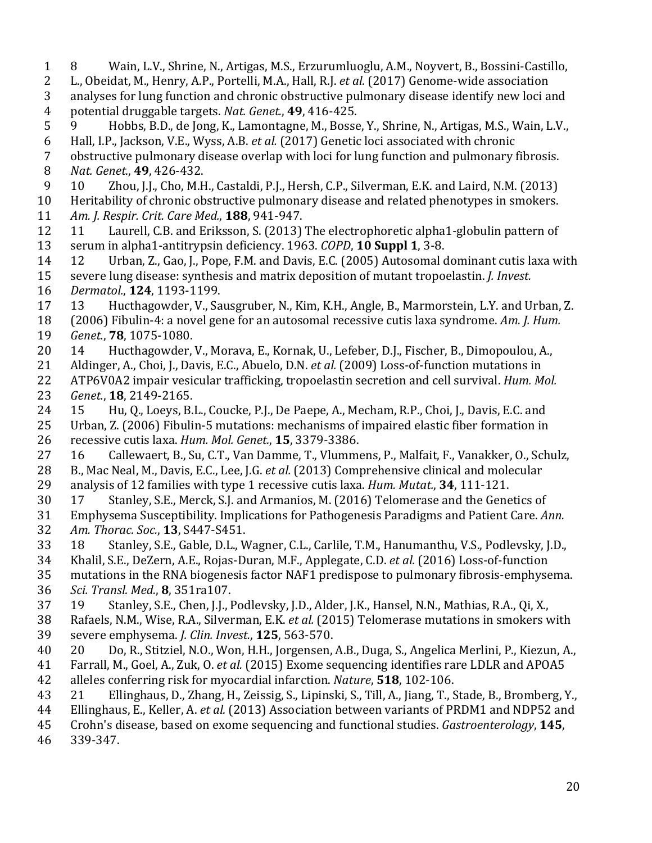1 8 Wain, L.V., Shrine, N., Artigas, M.S., Erzurumluoglu, A.M., Noyvert, B., Bossini-Castillo, 2 L., Obeidat, M., Henry, A.P., Portelli, M.A., Hall, R.J. *et al.* (2017) Genome-wide association 3 analyses for lung function and chronic obstructive pulmonary disease identify new loci and 4 potential druggable targets. *Nat. Genet.*, **49**, 416-425. 5 9 Hobbs, B.D., de Jong, K., Lamontagne, M., Bosse, Y., Shrine, N., Artigas, M.S., Wain, L.V., 6 Hall, I.P., Jackson, V.E., Wyss, A.B. *et al.* (2017) Genetic loci associated with chronic 7 obstructive pulmonary disease overlap with loci for lung function and pulmonary fibrosis. 8 *Nat. Genet.*, **49**, 426-432. 9 10 Zhou, J.J., Cho, M.H., Castaldi, P.J., Hersh, C.P., Silverman, E.K. and Laird, N.M. (2013) 10 Heritability of chronic obstructive pulmonary disease and related phenotypes in smokers. 11 *Am. J. Respir. Crit. Care Med.*, **188**, 941-947. 12 11 Laurell, C.B. and Eriksson, S. (2013) The electrophoretic alpha1-globulin pattern of 13 serum in alpha1-antitrypsin deficiency. 1963. *COPD*, **10 Suppl 1**, 3-8. 14 12 Urban, Z., Gao, J., Pope, F.M. and Davis, E.C. (2005) Autosomal dominant cutis laxa with 15 severe lung disease: synthesis and matrix deposition of mutant tropoelastin. *J. Invest.* 16 *Dermatol.*, **124**, 1193-1199. 17 13 Hucthagowder, V., Sausgruber, N., Kim, K.H., Angle, B., Marmorstein, L.Y. and Urban, Z. 18 (2006) Fibulin-4: a novel gene for an autosomal recessive cutis laxa syndrome. *Am. J. Hum.* 19 *Genet.*, **78**, 1075-1080. 20 14 Hucthagowder, V., Morava, E., Kornak, U., Lefeber, D.J., Fischer, B., Dimopoulou, A., 21 Aldinger, A., Choi, J., Davis, E.C., Abuelo, D.N. *et al.* (2009) Loss-of-function mutations in 22 ATP6V0A2 impair vesicular trafficking, tropoelastin secretion and cell survival. *Hum. Mol.* 23 *Genet.*, **18**, 2149-2165. 24 15 Hu, O., Loeys, B.L., Coucke, P.J., De Paepe, A., Mecham, R.P., Choi, J., Davis, E.C. and 25 Urban, Z. (2006) Fibulin-5 mutations: mechanisms of impaired elastic fiber formation in 26 recessive cutis laxa. *Hum. Mol. Genet.*, **15**, 3379-3386. 27 16 Callewaert, B., Su, C.T., Van Damme, T., Vlummens, P., Malfait, F., Vanakker, O., Schulz, 28 B., Mac Neal, M., Davis, E.C., Lee, J.G. *et al.* (2013) Comprehensive clinical and molecular 29 analysis of 12 families with type 1 recessive cutis laxa. *Hum. Mutat.*, **34**, 111-121. 30 17 Stanley, S.E., Merck, S.J. and Armanios, M. (2016) Telomerase and the Genetics of 31 Emphysema Susceptibility. Implications for Pathogenesis Paradigms and Patient Care. *Ann.* 32 *Am. Thorac. Soc.*, **13**, S447-S451. 33 18 Stanley, S.E., Gable, D.L., Wagner, C.L., Carlile, T.M., Hanumanthu, V.S., Podlevsky, J.D., 34 Khalil, S.E., DeZern, A.E., Rojas-Duran, M.F., Applegate, C.D. *et al.* (2016) Loss-of-function 35 mutations in the RNA biogenesis factor NAF1 predispose to pulmonary fibrosis-emphysema. 36 *Sci. Transl. Med.*, **8**, 351ra107. 37 19 Stanley, S.E., Chen, J.J., Podlevsky, J.D., Alder, J.K., Hansel, N.N., Mathias, R.A., Qi, X., 38 Rafaels, N.M., Wise, R.A., Silverman, E.K. *et al.* (2015) Telomerase mutations in smokers with 39 severe emphysema. *J. Clin. Invest.*, **125**, 563-570. 40 20 Do, R., Stitziel, N.O., Won, H.H., Jorgensen, A.B., Duga, S., Angelica Merlini, P., Kiezun, A., 41 Farrall, M., Goel, A., Zuk, O. *et al.* (2015) Exome sequencing identifies rare LDLR and APOA5 42 alleles conferring risk for myocardial infarction. *Nature*, **518**, 102-106. 43 21 Ellinghaus, D., Zhang, H., Zeissig, S., Lipinski, S., Till, A., Jiang, T., Stade, B., Bromberg, Y., 44 Ellinghaus, E., Keller, A. *et al.* (2013) Association between variants of PRDM1 and NDP52 and 45 Crohn's disease, based on exome sequencing and functional studies. *Gastroenterology*, **145**, 46 339-347.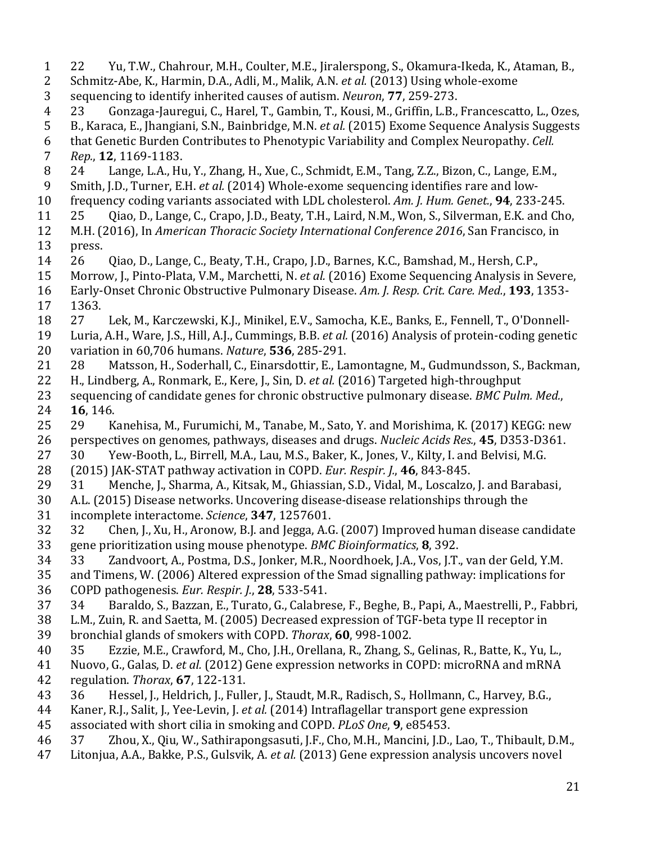1 22 Yu, T.W., Chahrour, M.H., Coulter, M.E., Jiralerspong, S., Okamura-Ikeda, K., Ataman, B., 2 Schmitz-Abe, K., Harmin, D.A., Adli, M., Malik, A.N. *et al.* (2013) Using whole-exome 3 sequencing to identify inherited causes of autism. *Neuron*, **77**, 259-273. 4 23 Gonzaga-Jauregui, C., Harel, T., Gambin, T., Kousi, M., Griffin, L.B., Francescatto, L., Ozes, 5 B., Karaca, E., Jhangiani, S.N., Bainbridge, M.N. *et al.* (2015) Exome Sequence Analysis Suggests 6 that Genetic Burden Contributes to Phenotypic Variability and Complex Neuropathy. *Cell.* 7 *Rep.*, **12**, 1169-1183. 8 24 Lange, L.A., Hu, Y., Zhang, H., Xue, C., Schmidt, E.M., Tang, Z.Z., Bizon, C., Lange, E.M., 9 Smith, J.D., Turner, E.H. *et al.* (2014) Whole-exome sequencing identifies rare and low-10 frequency coding variants associated with LDL cholesterol. Am. *J. Hum. Genet.*, **94**, 233-245. 11 25 Qiao, D., Lange, C., Crapo, J.D., Beaty, T.H., Laird, N.M., Won, S., Silverman, E.K. and Cho, 12 M.H. (2016), In *American Thoracic Society International Conference 2016*, San Francisco, in 13 press. 14 26 Qiao, D., Lange, C., Beaty, T.H., Crapo, J.D., Barnes, K.C., Bamshad, M., Hersh, C.P., 15 Morrow, J., Pinto-Plata, V.M., Marchetti, N. *et al.* (2016) Exome Sequencing Analysis in Severe, 16 Early-Onset Chronic Obstructive Pulmonary Disease. Am. J. Resp. Crit. Care. Med., 193, 1353-17 1363. 18 27 Lek, M., Karczewski, K.J., Minikel, E.V., Samocha, K.E., Banks, E., Fennell, T., O'Donnell-19 Luria, A.H., Ware, J.S., Hill, A.J., Cummings, B.B. *et al.* (2016) Analysis of protein-coding genetic 20 variation in 60,706 humans. *Nature*, **536**, 285-291. 21 28 Matsson, H., Soderhall, C., Einarsdottir, E., Lamontagne, M., Gudmundsson, S., Backman, 22 H., Lindberg, A., Ronmark, E., Kere, J., Sin, D. *et al.* (2016) Targeted high-throughput 23 sequencing of candidate genes for chronic obstructive pulmonary disease. *BMC Pulm. Med.*, 24 **16**, 146. 25 29 Kanehisa, M., Furumichi, M., Tanabe, M., Sato, Y. and Morishima, K. (2017) KEGG: new 26 perspectives on genomes, pathways, diseases and drugs. *Nucleic Acids Res.*, 45, D353-D361. 27 30 Yew-Booth, L., Birrell, M.A., Lau, M.S., Baker, K., Jones, V., Kilty, I. and Belvisi, M.G. 28 (2015) JAK-STAT pathway activation in COPD. *Eur. Respir. I.*, 46, 843-845. 29 31 Menche, J., Sharma, A., Kitsak, M., Ghiassian, S.D., Vidal, M., Loscalzo, J. and Barabasi, 30 A.L. (2015) Disease networks. Uncovering disease-disease relationships through the 31 incomplete interactome. *Science*, **347**, 1257601. 32 32 Chen, J., Xu, H., Aronow, B.J. and Jegga, A.G. (2007) Improved human disease candidate 33 gene prioritization using mouse phenotype. *BMC Bioinformatics*, **8**, 392. 34 33 Zandvoort, A., Postma, D.S., Jonker, M.R., Noordhoek, J.A., Vos, J.T., van der Geld, Y.M. 35 and Timens, W. (2006) Altered expression of the Smad signalling pathway: implications for 36 COPD pathogenesis. *Eur. Respir. J.*, **28**, 533-541. 37 34 Baraldo, S., Bazzan, E., Turato, G., Calabrese, F., Beghe, B., Papi, A., Maestrelli, P., Fabbri, 38 L.M., Zuin, R. and Saetta, M. (2005) Decreased expression of TGF-beta type II receptor in 39 bronchial glands of smokers with COPD. *Thorax*, 60, 998-1002. 40 35 Ezzie, M.E., Crawford, M., Cho, J.H., Orellana, R., Zhang, S., Gelinas, R., Batte, K., Yu, L., 41 Nuovo, G., Galas, D. *et al.* (2012) Gene expression networks in COPD: microRNA and mRNA 42 regulation. *Thorax*, **67**, 122-131. 43 36 Hessel, J., Heldrich, J., Fuller, J., Staudt, M.R., Radisch, S., Hollmann, C., Harvey, B.G., 44 Kaner, R.J., Salit, J., Yee-Levin, J. *et al.* (2014) Intraflagellar transport gene expression 45 associated with short cilia in smoking and COPD. *PLoS One*, **9**, e85453. 46 37 Zhou, X., Qiu, W., Sathirapongsasuti, J.F., Cho, M.H., Mancini, J.D., Lao, T., Thibault, D.M., 47 Litonjua, A.A., Bakke, P.S., Gulsvik, A. *et al.* (2013) Gene expression analysis uncovers novel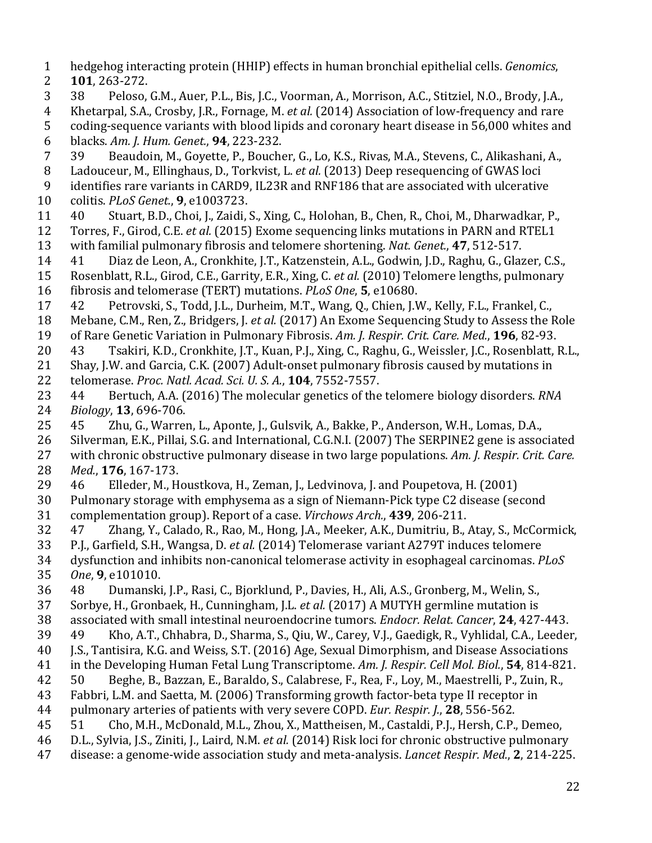- 1 hedgehog interacting protein (HHIP) effects in human bronchial epithelial cells. *Genomics*,
- 2 **101**, 263-272.
- 3 38 Peloso, G.M., Auer, P.L., Bis, J.C., Voorman, A., Morrison, A.C., Stitziel, N.O., Brody, J.A.,
- 4 Khetarpal, S.A., Crosby, J.R., Fornage, M. *et al.* (2014) Association of low-frequency and rare
- 5 coding-sequence variants with blood lipids and coronary heart disease in 56,000 whites and 6 blacks. *Am. J. Hum. Genet.*, **94**, 223-232.
- 7 39 Beaudoin, M., Goyette, P., Boucher, G., Lo, K.S., Rivas, M.A., Stevens, C., Alikashani, A.,
- 8 Ladouceur, M., Ellinghaus, D., Torkvist, L. *et al.* (2013) Deep resequencing of GWAS loci
- 9 identifies rare variants in CARD9, IL23R and RNF186 that are associated with ulcerative 10 colitis. *PLoS Genet.*, **9**, e1003723.
- 11 40 Stuart, B.D., Choi, J., Zaidi, S., Xing, C., Holohan, B., Chen, R., Choi, M., Dharwadkar, P.,
- 12 Torres, F., Girod, C.E. *et al.* (2015) Exome sequencing links mutations in PARN and RTEL1 13 with familial pulmonary fibrosis and telomere shortening. *Nat. Genet.*, 47, 512-517.
- 
- 14 41 Diaz de Leon, A., Cronkhite, J.T., Katzenstein, A.L., Godwin, J.D., Raghu, G., Glazer, C.S., 15 Rosenblatt, R.L., Girod, C.E., Garrity, E.R., Xing, C. *et al.* (2010) Telomere lengths, pulmonary
- 16 fibrosis and telomerase (TERT) mutations. *PLoS One*, **5**, e10680.
- 17 42 Petrovski, S., Todd, J.L., Durheim, M.T., Wang, Q., Chien, J.W., Kelly, F.L., Frankel, C.,
- 18 Mebane, C.M., Ren, Z., Bridgers, J. *et al.* (2017) An Exome Sequencing Study to Assess the Role
- 19 of Rare Genetic Variation in Pulmonary Fibrosis. Am. J. Respir. Crit. Care. Med., **196**, 82-93.
- 20 43 Tsakiri, K.D., Cronkhite, J.T., Kuan, P.J., Xing, C., Raghu, G., Weissler, J.C., Rosenblatt, R.L.,
- 21 Shay, J.W. and Garcia, C.K. (2007) Adult-onset pulmonary fibrosis caused by mutations in 22 telomerase. *Proc. Natl. Acad. Sci. U. S. A.*, **104**, 7552-7557.
- 23 44 Bertuch, A.A. (2016) The molecular genetics of the telomere biology disorders. *RNA* 24 *Biology*, **13**, 696-706.
- 25 45 Zhu, G., Warren, L., Aponte, J., Gulsvik, A., Bakke, P., Anderson, W.H., Lomas, D.A.,
- 26 Silverman, E.K., Pillai, S.G. and International, C.G.N.I. (2007) The SERPINE2 gene is associated
- 27 with chronic obstructive pulmonary disease in two large populations. Am. J. Respir. Crit. Care. 28 *Med.*, **176**, 167-173.
- 29 46 Elleder, M., Houstkova, H., Zeman, J., Ledvinova, J. and Poupetova, H. (2001)
- 30 Pulmonary storage with emphysema as a sign of Niemann-Pick type C2 disease (second
- 31 complementation group). Report of a case. *Virchows Arch.*, 439, 206-211.
- 32 47 Zhang, Y., Calado, R., Rao, M., Hong, J.A., Meeker, A.K., Dumitriu, B., Atay, S., McCormick,
- 33 P.J., Garfield, S.H., Wangsa, D. *et al.* (2014) Telomerase variant A279T induces telomere
- 34 dysfunction and inhibits non-canonical telomerase activity in esophageal carcinomas. *PLoS*
- 35 *One*, **9**, e101010.
- 36 48 Dumanski, J.P., Rasi, C., Bjorklund, P., Davies, H., Ali, A.S., Gronberg, M., Welin, S.,
- 37 Sorbye, H., Gronbaek, H., Cunningham, J.L. *et al.* (2017) A MUTYH germline mutation is
- 38 associated with small intestinal neuroendocrine tumors. *Endocr. Relat. Cancer*, **24**, 427-443.
- 39 49 Kho, A.T., Chhabra, D., Sharma, S., Qiu, W., Carey, V.J., Gaedigk, R., Vyhlidal, C.A., Leeder,
- 40 J.S., Tantisira, K.G. and Weiss, S.T. (2016) Age, Sexual Dimorphism, and Disease Associations
- 41 in the Developing Human Fetal Lung Transcriptome. Am. J. Respir. Cell Mol. Biol., **54**, 814-821.
- 42 50 Beghe, B., Bazzan, E., Baraldo, S., Calabrese, F., Rea, F., Loy, M., Maestrelli, P., Zuin, R.,
- 43 Fabbri, L.M. and Saetta, M. (2006) Transforming growth factor-beta type II receptor in
- 44 pulmonary arteries of patients with very severe COPD. *Eur. Respir. I.*, **28**, 556-562.
- 45 51 Cho, M.H., McDonald, M.L., Zhou, X., Mattheisen, M., Castaldi, P.J., Hersh, C.P., Demeo,
- 46 D.L., Sylvia, J.S., Ziniti, J., Laird, N.M. *et al.* (2014) Risk loci for chronic obstructive pulmonary
- 47 disease: a genome-wide association study and meta-analysis. *Lancet Respir. Med.*, 2, 214-225.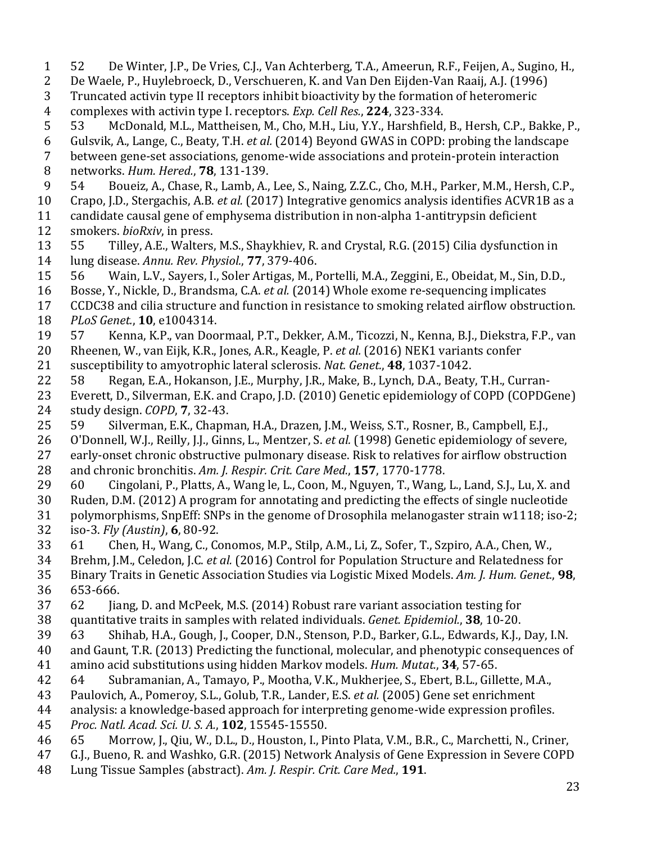23 2 De Waele, P., Huylebroeck, D., Verschueren, K. and Van Den Eijden-Van Raaij, A.J. (1996) 3 Truncated activin type II receptors inhibit bioactivity by the formation of heteromeric 4 complexes with activin type I. receptors. *Exp. Cell Res.*, **224**, 323-334. 5 53 McDonald, M.L., Mattheisen, M., Cho, M.H., Liu, Y.Y., Harshfield, B., Hersh, C.P., Bakke, P., 6 Gulsvik, A., Lange, C., Beaty, T.H. *et al.* (2014) Beyond GWAS in COPD: probing the landscape 7 between gene-set associations, genome-wide associations and protein-protein interaction 8 networks. *Hum. Hered.*, **78**, 131-139. 9 54 Boueiz, A., Chase, R., Lamb, A., Lee, S., Naing, Z.Z.C., Cho, M.H., Parker, M.M., Hersh, C.P., 10 Crapo, J.D., Stergachis, A.B. *et al.* (2017) Integrative genomics analysis identifies ACVR1B as a 11 candidate causal gene of emphysema distribution in non-alpha 1-antitrypsin deficient 12 smokers. *bioRxiv*, in press. 13 55 Tilley, A.E., Walters, M.S., Shaykhiev, R. and Crystal, R.G. (2015) Cilia dysfunction in 14 lung disease. *Annu. Rev. Physiol.*, **77**, 379-406. 15 56 Wain, L.V., Sayers, I., Soler Artigas, M., Portelli, M.A., Zeggini, E., Obeidat, M., Sin, D.D., 16 Bosse, Y., Nickle, D., Brandsma, C.A. *et al.* (2014) Whole exome re-sequencing implicates 17 CCDC38 and cilia structure and function in resistance to smoking related airflow obstruction. 18 *PLoS Genet.*, **10**, e1004314. 19 57 Kenna, K.P., van Doormaal, P.T., Dekker, A.M., Ticozzi, N., Kenna, B.J., Diekstra, F.P., van 20 Rheenen, W., van Eijk, K.R., Jones, A.R., Keagle, P. *et al.* (2016) NEK1 variants confer 21 susceptibility to amyotrophic lateral sclerosis. *Nat. Genet.*, **48**, 1037-1042. 22 58 Regan, E.A., Hokanson, J.E., Murphy, J.R., Make, B., Lynch, D.A., Beaty, T.H., Curran-23 Everett, D., Silverman, E.K. and Crapo, J.D. (2010) Genetic epidemiology of COPD (COPDGene) 24 study design. *COPD*, **7**, 32-43. 25 59 Silverman, E.K., Chapman, H.A., Drazen, J.M., Weiss, S.T., Rosner, B., Campbell, E.J., 26 O'Donnell, W.J., Reilly, J.J., Ginns, L., Mentzer, S. *et al.* (1998) Genetic epidemiology of severe, 27 early-onset chronic obstructive pulmonary disease. Risk to relatives for airflow obstruction 28 and chronic bronchitis. Am. J. Respir. Crit. Care Med., **157**, 1770-1778. 29 60 Cingolani, P., Platts, A., Wang le, L., Coon, M., Nguyen, T., Wang, L., Land, S.J., Lu, X. and 30 Ruden, D.M. (2012) A program for annotating and predicting the effects of single nucleotide 31 polymorphisms, SnpEff: SNPs in the genome of Drosophila melanogaster strain  $w1118$ ; iso-2; 32 iso-3. *Fly (Austin)*, **6**, 80-92. 33 61 Chen, H., Wang, C., Conomos, M.P., Stilp, A.M., Li, Z., Sofer, T., Szpiro, A.A., Chen, W., 34 Brehm, J.M., Celedon, J.C. *et al.* (2016) Control for Population Structure and Relatedness for 35 Binary Traits in Genetic Association Studies via Logistic Mixed Models. Am. J. Hum. Genet., **98**, 36 653-666. 37 62 Jiang, D. and McPeek, M.S. (2014) Robust rare variant association testing for 38 quantitative traits in samples with related individuals. *Genet. Epidemiol.*, **38**, 10-20. 39 63 Shihab, H.A., Gough, J., Cooper, D.N., Stenson, P.D., Barker, G.L., Edwards, K.J., Day, I.N. 40 and Gaunt, T.R. (2013) Predicting the functional, molecular, and phenotypic consequences of 41 amino acid substitutions using hidden Markov models. *Hum. Mutat.*, **34**, 57-65. 42 64 Subramanian, A., Tamayo, P., Mootha, V.K., Mukherjee, S., Ebert, B.L., Gillette, M.A., 43 Paulovich, A., Pomeroy, S.L., Golub, T.R., Lander, E.S. *et al.* (2005) Gene set enrichment 44 analysis: a knowledge-based approach for interpreting genome-wide expression profiles. 45 *Proc. Natl. Acad. Sci. U. S. A.*, **102**, 15545-15550. 46 65 Morrow, J., Qiu, W., D.L., D., Houston, I., Pinto Plata, V.M., B.R., C., Marchetti, N., Criner, 47 G.J., Bueno, R. and Washko, G.R. (2015) Network Analysis of Gene Expression in Severe COPD 48 Lung Tissue Samples (abstract). Am. J. Respir. Crit. Care Med., 191.

1 52 De Winter, J.P., De Vries, C.J., Van Achterberg, T.A., Ameerun, R.F., Feijen, A., Sugino, H.,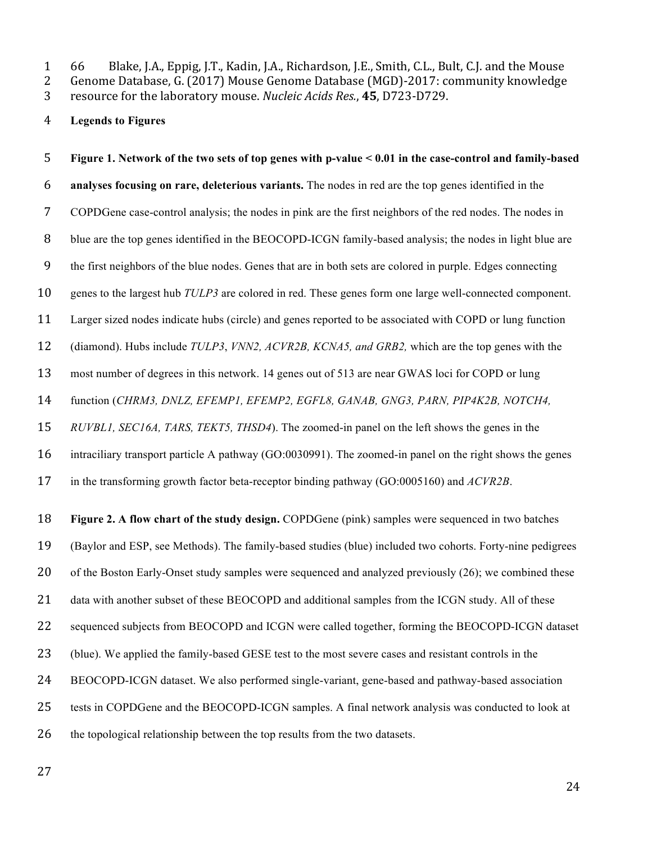1 66 Blake, J.A., Eppig, J.T., Kadin, J.A., Richardson, J.E., Smith, C.L., Bult, C.J. and the Mouse

2 Genome Database, G. (2017) Mouse Genome Database (MGD)-2017: community knowledge

3 resource for the laboratory mouse. *Nucleic Acids Res.*, 45, D723-D729.

**Legends to Figures**

 **Figure 1. Network of the two sets of top genes with p-value < 0.01 in the case-control and family-based analyses focusing on rare, deleterious variants.** The nodes in red are the top genes identified in the COPDGene case-control analysis; the nodes in pink are the first neighbors of the red nodes. The nodes in blue are the top genes identified in the BEOCOPD-ICGN family-based analysis; the nodes in light blue are the first neighbors of the blue nodes. Genes that are in both sets are colored in purple. Edges connecting genes to the largest hub *TULP3* are colored in red. These genes form one large well-connected component. Larger sized nodes indicate hubs (circle) and genes reported to be associated with COPD or lung function (diamond). Hubs include *TULP3*, *VNN2, ACVR2B, KCNA5, and GRB2,* which are the top genes with the most number of degrees in this network. 14 genes out of 513 are near GWAS loci for COPD or lung function (*CHRM3, DNLZ, EFEMP1, EFEMP2, EGFL8, GANAB, GNG3, PARN, PIP4K2B, NOTCH4, RUVBL1, SEC16A, TARS, TEKT5, THSD4*). The zoomed-in panel on the left shows the genes in the intraciliary transport particle A pathway (GO:0030991). The zoomed-in panel on the right shows the genes in the transforming growth factor beta-receptor binding pathway (GO:0005160) and *ACVR2B*. **Figure 2. A flow chart of the study design.** COPDGene (pink) samples were sequenced in two batches (Baylor and ESP, see Methods). The family-based studies (blue) included two cohorts. Forty-nine pedigrees 20 of the Boston Early-Onset study samples were sequenced and analyzed previously (26); we combined these 21 data with another subset of these BEOCOPD and additional samples from the ICGN study. All of these 22 sequenced subjects from BEOCOPD and ICGN were called together, forming the BEOCOPD-ICGN dataset (blue). We applied the family-based GESE test to the most severe cases and resistant controls in the BEOCOPD-ICGN dataset. We also performed single-variant, gene-based and pathway-based association tests in COPDGene and the BEOCOPD-ICGN samples. A final network analysis was conducted to look at the topological relationship between the top results from the two datasets.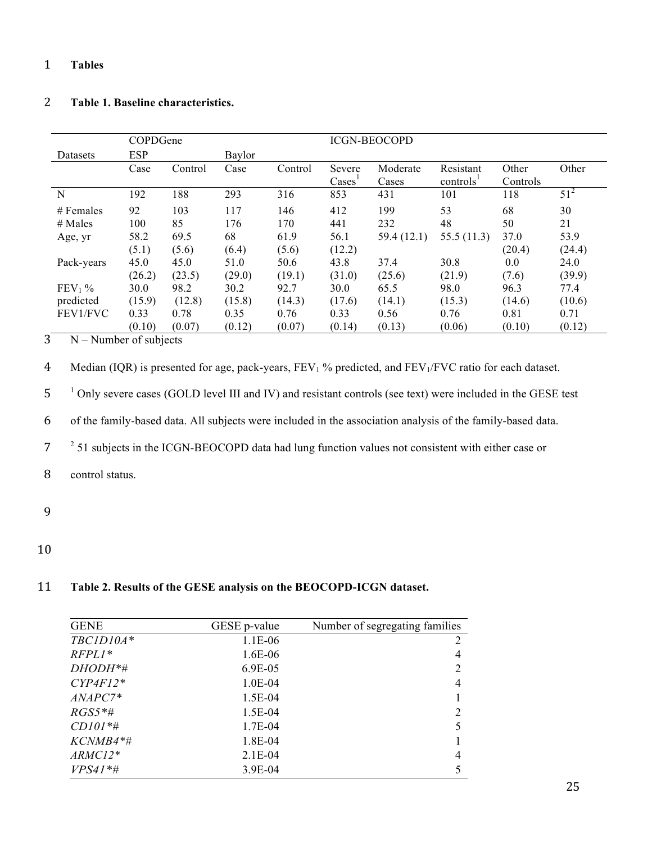# 1 **Tables**

# 2 **Table 1. Baseline characteristics.**

|             | COPDGene   |         |        |         | <b>ICGN-BEOCOPD</b>     |                   |                                    |                   |        |
|-------------|------------|---------|--------|---------|-------------------------|-------------------|------------------------------------|-------------------|--------|
| Datasets    | <b>ESP</b> |         | Baylor |         |                         |                   |                                    |                   |        |
|             | Case       | Control | Case   | Control | Severe<br>$\text{Case}$ | Moderate<br>Cases | Resistant<br>controls <sup>1</sup> | Other<br>Controls | Other  |
| N           | 192        | 188     | 293    | 316     | 853                     | 431               | 101                                | 118               | $51^2$ |
| $#$ Females | 92         | 103     | 117    | 146     | 412                     | 199               | 53                                 | 68                | 30     |
| $#$ Males   | 100        | 85      | 176    | 170     | 441                     | 232               | 48                                 | 50                | 21     |
| Age, yr     | 58.2       | 69.5    | 68     | 61.9    | 56.1                    | 59.4 (12.1)       | 55.5 (11.3)                        | 37.0              | 53.9   |
|             | (5.1)      | (5.6)   | (6.4)  | (5.6)   | (12.2)                  |                   |                                    | (20.4)            | (24.4) |
| Pack-years  | 45.0       | 45.0    | 51.0   | 50.6    | 43.8                    | 37.4              | 30.8                               | 0.0               | 24.0   |
|             | (26.2)     | (23.5)  | (29.0) | (19.1)  | (31.0)                  | (25.6)            | (21.9)                             | (7.6)             | (39.9) |
| $FEV1$ %    | 30.0       | 98.2    | 30.2   | 92.7    | 30.0                    | 65.5              | 98.0                               | 96.3              | 77.4   |
| predicted   | (15.9)     | (12.8)  | (15.8) | (14.3)  | (17.6)                  | (14.1)            | (15.3)                             | (14.6)            | (10.6) |
| FEV1/FVC    | 0.33       | 0.78    | 0.35   | 0.76    | 0.33                    | 0.56              | 0.76                               | 0.81              | 0.71   |
|             | (0.10)     | (0.07)  | (0.12) | (0.07)  | (0.14)                  | (0.13)            | (0.06)                             | (0.10)            | (0.12) |

 $3$  N – Number of subjects

4 Median (IQR) is presented for age, pack-years,  $FEV<sub>1</sub>$ % predicted, and  $FEV<sub>1</sub>/FVC$  ratio for each dataset.

<sup>1</sup> 5 Only severe cases (GOLD level III and IV) and resistant controls (see text) were included in the GESE test

6 of the family-based data. All subjects were included in the association analysis of the family-based data.

<sup>2</sup> 51 subjects in the ICGN-BEOCOPD data had lung function values not consistent with either case or

8 control status.

- 9
- 10

# 11 **Table 2. Results of the GESE analysis on the BEOCOPD-ICGN dataset.**

| <b>GENE</b> | GESE p-value | Number of segregating families |
|-------------|--------------|--------------------------------|
| TBC1D10A*   | 1.1E-06      | 2                              |
| $RFPL1*$    | 1.6E-06      | 4                              |
| DHODH*#     | 6.9E-05      | 2                              |
| $CYP4F12*$  | $1.0E-04$    | 4                              |
| ANAPC7*     | $1.5E-04$    |                                |
| $RGS5*$ #   | $1.5E-04$    |                                |
| $CD101*$ #  | 1.7E-04      |                                |
| KCNMB4*#    | 1.8E-04      |                                |
| $ARMC12*$   | $2.1E-04$    | 4                              |
| $VPS41*$ #  | $3.9E-04$    |                                |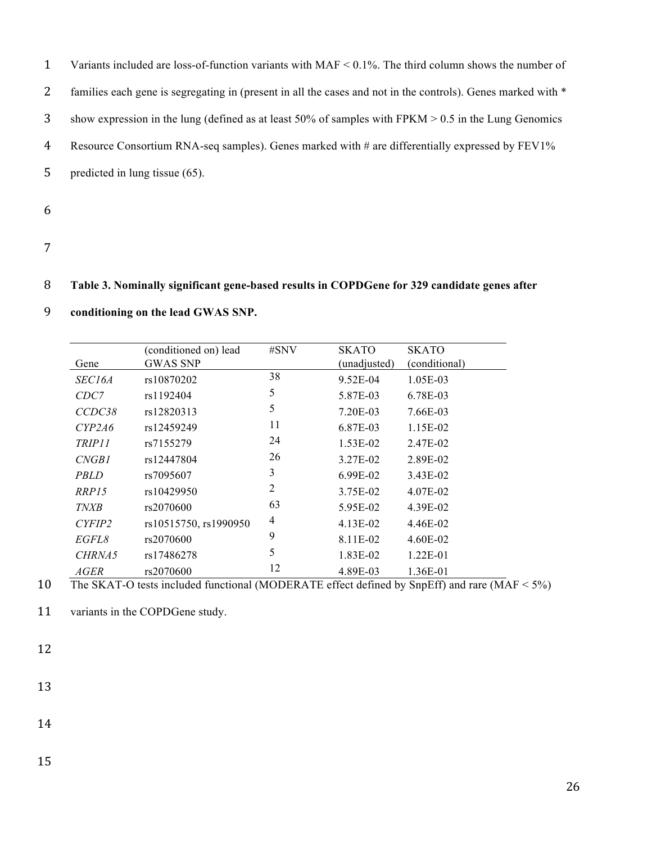Variants included are loss-of-function variants with MAF < 0.1%. The third column shows the number of 2 families each gene is segregating in (present in all the cases and not in the controls). Genes marked with \* show expression in the lung (defined as at least 50% of samples with FPKM > 0.5 in the Lung Genomics Resource Consortium RNA-seq samples). Genes marked with # are differentially expressed by FEV1% predicted in lung tissue (65).

- 6
- 7

# 8 **Table 3. Nominally significant gene-based results in COPDGene for 329 candidate genes after**

|               | (conditioned on) lead | #SNV           | <b>SKATO</b> | <b>SKATO</b>  |
|---------------|-----------------------|----------------|--------------|---------------|
| Gene          | <b>GWAS SNP</b>       |                | (unadjusted) | (conditional) |
| <i>SEC16A</i> | rs10870202            | 38             | 9.52E-04     | 1.05E-03      |
| CDC7          | rs1192404             | 5              | 5.87E-03     | 6.78E-03      |
| CCDC38        | rs12820313            | 5              | 7.20E-03     | 7.66E-03      |
| CYP2A6        | rs12459249            | 11             | 6.87E-03     | 1.15E-02      |
| TRIP11        | rs7155279             | 24             | $1.53E-02$   | 2.47E-02      |
| CNGB1         | rs12447804            | 26             | 3.27E-02     | 2.89E-02      |
| <i>PBLD</i>   | rs7095607             | 3              | 6.99E-02     | 3.43E-02      |
| RRP15         | rs10429950            | $\overline{2}$ | 3.75E-02     | 4.07E-02      |
| <b>TNXB</b>   | rs2070600             | 63             | 5.95E-02     | 4.39E-02      |
| CYFIP2        | rs10515750, rs1990950 | 4              | 4.13E-02     | 4.46E-02      |
| <i>EGFL8</i>  | rs2070600             | 9              | 8.11E-02     | 4.60E-02      |
| CHRNA5        | rs17486278            | 5              | 1.83E-02     | $1.22E - 01$  |
| <i>AGER</i>   | rs2070600             | 12             | 4.89E-03     | 1.36E-01      |

# 9 **conditioning on the lead GWAS SNP.**

10 The SKAT-O tests included functional (MODERATE effect defined by SnpEff) and rare (MAF < 5%)

11 variants in the COPDGene study.

12

13

14

15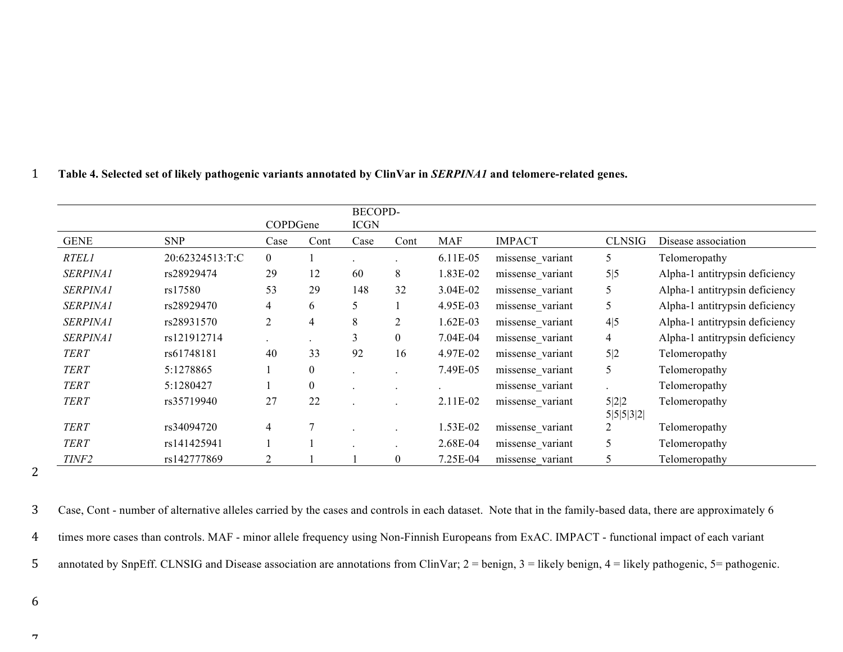# 1 **Table 4. Selected set of likely pathogenic variants annotated by ClinVar in** *SERPINA1* **and telomere-related genes.**

|                   |                 | COPDGene       |                  | <b>BECOPD-</b><br><b>ICGN</b> |          |            |                  |                    |                                |
|-------------------|-----------------|----------------|------------------|-------------------------------|----------|------------|------------------|--------------------|--------------------------------|
| <b>GENE</b>       | <b>SNP</b>      | Case           | Cont             | Case                          | Cont     | <b>MAF</b> | <b>IMPACT</b>    | <b>CLNSIG</b>      | Disease association            |
| <b>RTEL1</b>      | 20:62324513:T:C | $\overline{0}$ |                  |                               |          | 6.11E-05   | missense_variant | 5                  | Telomeropathy                  |
| <b>SERPINA1</b>   | rs28929474      | 29             | 12               | 60                            | 8        | 1.83E-02   | missense variant | 5 5                | Alpha-1 antitrypsin deficiency |
| <b>SERPINA1</b>   | rs17580         | 53             | 29               | 148                           | 32       | 3.04E-02   | missense variant | 5                  | Alpha-1 antitrypsin deficiency |
| <b>SERPINA1</b>   | rs28929470      | 4              | 6                | 5                             |          | 4.95E-03   | missense variant | 5                  | Alpha-1 antitrypsin deficiency |
| <b>SERPINA1</b>   | rs28931570      | 2              | 4                | 8                             | 2        | 1.62E-03   | missense variant | 4 5                | Alpha-1 antitrypsin deficiency |
| <b>SERPINA1</b>   | rs121912714     |                |                  | 3                             | $\theta$ | 7.04E-04   | missense variant | $\overline{4}$     | Alpha-1 antitrypsin deficiency |
| <b>TERT</b>       | rs61748181      | 40             | 33               | 92                            | 16       | 4.97E-02   | missense variant | 5 2                | Telomeropathy                  |
| <b>TERT</b>       | 5:1278865       |                | $\boldsymbol{0}$ |                               |          | 7.49E-05   | missense variant | 5                  | Telomeropathy                  |
| <b>TERT</b>       | 5:1280427       |                | $\boldsymbol{0}$ |                               |          |            | missense_variant |                    | Telomeropathy                  |
| <b>TERT</b>       | rs35719940      | 27             | 22               |                               |          | 2.11E-02   | missense variant | 5 2 2<br>5 5 5 3 2 | Telomeropathy                  |
| <b>TERT</b>       | rs34094720      | 4              | 7                |                               |          | 1.53E-02   | missense variant | 2                  | Telomeropathy                  |
| <b>TERT</b>       | rs141425941     |                |                  |                               |          | 2.68E-04   | missense variant | 5                  | Telomeropathy                  |
| TINF <sub>2</sub> | rs142777869     | 2              |                  |                               | $\theta$ | 7.25E-04   | missense variant | 5                  | Telomeropathy                  |

2

3 Case, Cont - number of alternative alleles carried by the cases and controls in each dataset. Note that in the family-based data, there are approximately 6 4 times more cases than controls. MAF - minor allele frequency using Non-Finnish Europeans from ExAC. IMPACT - functional impact of each variant 5 annotated by SnpEff. CLNSIG and Disease association are annotations from ClinVar; 2 = benign, 3 = likely benign, 4 = likely pathogenic, 5 = pathogenic.

6  $\mathcal{L}$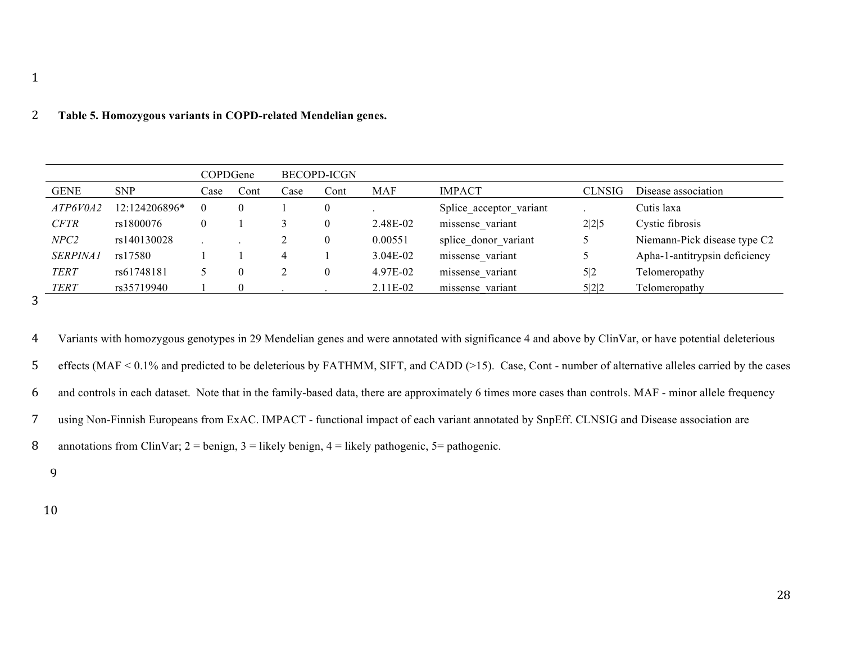### 2 **Table 5. Homozygous variants in COPD-related Mendelian genes.**

|                 |               | COPDGene |      |            | <b>BECOPD-ICGN</b> |            |                         |               |                               |
|-----------------|---------------|----------|------|------------|--------------------|------------|-------------------------|---------------|-------------------------------|
| <b>GENE</b>     | <b>SNP</b>    | Case     | Cont | $\c{Case}$ | Cont               | MAF        | <b>IMPACT</b>           | <b>CLNSIG</b> | Disease association           |
| ATP6V0A2        | 12:124206896* | $\theta$ |      |            | $\theta$           |            | Splice acceptor variant |               | Cutis laxa                    |
| <b>CFTR</b>     | rs1800076     |          |      |            | $\theta$           | 2.48E-02   | missense variant        | 2 2 5         | Cystic fibrosis               |
| NPC2            | rs140130028   |          |      |            | $\theta$           | 0.00551    | splice donor variant    |               | Niemann-Pick disease type C2  |
| <i>SERPINA1</i> | rs17580       |          |      |            |                    | $3.04E-02$ | missense variant        |               | Apha-1-antitrypsin deficiency |
| <b>TERT</b>     | rs61748181    |          |      | ∠          | $\theta$           | 4.97E-02   | missense variant        | 5 2           | Telomeropathy                 |
| <b>TERT</b>     | rs35719940    |          |      |            |                    | 2.11E-02   | missense variant        | 5 2 2         | Telomeropathy                 |

3

 Variants with homozygous genotypes in 29 Mendelian genes and were annotated with significance 4 and above by ClinVar, or have potential deleterious effects (MAF < 0.1% and predicted to be deleterious by FATHMM, SIFT, and CADD (>15). Case, Cont - number of alternative alleles carried by the cases and controls in each dataset. Note that in the family-based data, there are approximately 6 times more cases than controls. MAF - minor allele frequency using Non-Finnish Europeans from ExAC. IMPACT - functional impact of each variant annotated by SnpEff. CLNSIG and Disease association are 8 annotations from ClinVar;  $2 = \text{benign}$ ,  $3 = \text{likely benign}$ ,  $4 = \text{likely pathogenic}$ ,  $5 = \text{pathogenic}$ .

9

10